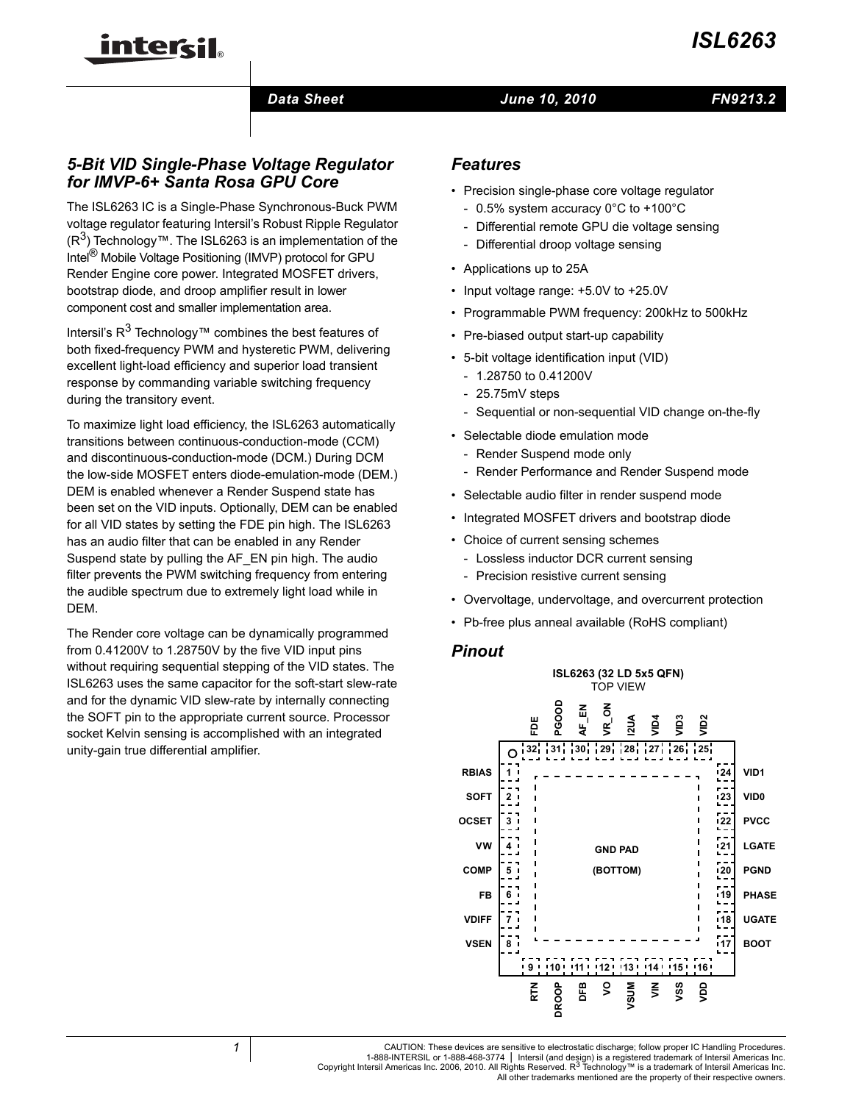

#### *Data Sheet June 10, 2010*

## *5-Bit VID Single-Phase Voltage Regulator for IMVP-6+ Santa Rosa GPU Core*

inter<del>cil</del>

The ISL6263 IC is a Single-Phase Synchronous-Buck PWM voltage regulator featuring Intersil's Robust Ripple Regulator  $(R<sup>3</sup>)$  Technology™. The ISL6263 is an implementation of the Intel® Mobile Voltage Positioning (IMVP) protocol for GPU Render Engine core power. Integrated MOSFET drivers, bootstrap diode, and droop amplifier result in lower component cost and smaller implementation area.

Intersil's  $R^3$  Technology™ combines the best features of both fixed-frequency PWM and hysteretic PWM, delivering excellent light-load efficiency and superior load transient response by commanding variable switching frequency during the transitory event.

To maximize light load efficiency, the ISL6263 automatically transitions between continuous-conduction-mode (CCM) and discontinuous-conduction-mode (DCM.) During DCM the low-side MOSFET enters diode-emulation-mode (DEM.) DEM is enabled whenever a Render Suspend state has been set on the VID inputs. Optionally, DEM can be enabled for all VID states by setting the FDE pin high. The ISL6263 has an audio filter that can be enabled in any Render Suspend state by pulling the AF\_EN pin high. The audio filter prevents the PWM switching frequency from entering the audible spectrum due to extremely light load while in DEM.

The Render core voltage can be dynamically programmed from 0.41200V to 1.28750V by the five VID input pins without requiring sequential stepping of the VID states. The ISL6263 uses the same capacitor for the soft-start slew-rate and for the dynamic VID slew-rate by internally connecting the SOFT pin to the appropriate current source. Processor socket Kelvin sensing is accomplished with an integrated unity-gain true differential amplifier.

#### *Features*

- Precision single-phase core voltage regulator
	- 0.5% system accuracy 0°C to +100°C
	- Differential remote GPU die voltage sensing
	- Differential droop voltage sensing
- Applications up to 25A
- Input voltage range: +5.0V to +25.0V
- Programmable PWM frequency: 200kHz to 500kHz
- Pre-biased output start-up capability
- 5-bit voltage identification input (VID)
	- 1.28750 to 0.41200V
	- 25.75mV steps
	- Sequential or non-sequential VID change on-the-fly
- Selectable diode emulation mode
	- Render Suspend mode only
	- Render Performance and Render Suspend mode
- Selectable audio filter in render suspend mode
- Integrated MOSFET drivers and bootstrap diode
- Choice of current sensing schemes
	- Lossless inductor DCR current sensing
	- Precision resistive current sensing
- Overvoltage, undervoltage, and overcurrent protection
- Pb-free plus anneal available (RoHS compliant)

#### *Pinout*

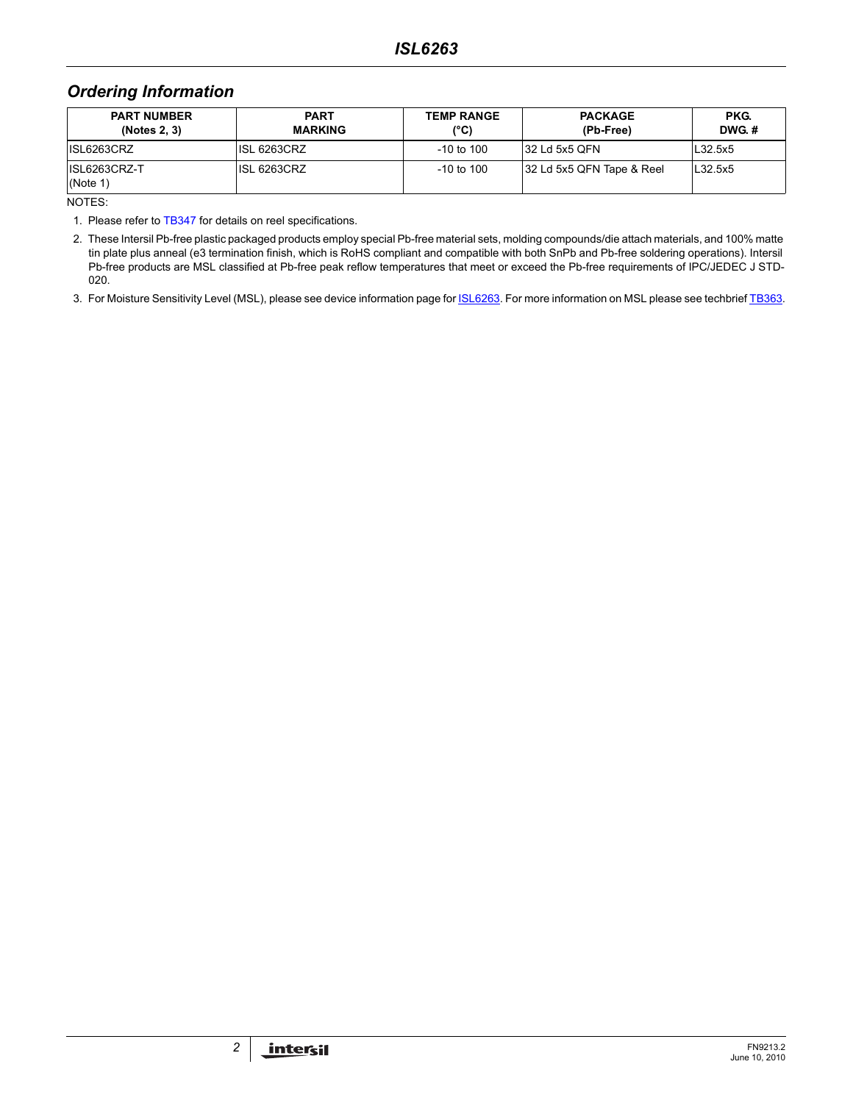## *Ordering Information*

| <b>PART NUMBER</b><br>(Notes 2, 3) | <b>PART</b><br><b>MARKING</b> | <b>TEMP RANGE</b><br>$(^{\circ}C)$ | <b>PACKAGE</b><br>(Pb-Free) | PKG.<br>DWG.# |
|------------------------------------|-------------------------------|------------------------------------|-----------------------------|---------------|
| ISL6263CRZ                         | ISL 6263CRZ                   | $-10$ to $100$                     | 132 Ld 5x5 QFN              | L32.5x5       |
| ISL6263CRZ-T<br>(Note 1)           | <b>ISL 6263CRZ</b>            | $-10$ to $100$                     | 32 Ld 5x5 QFN Tape & Reel   | L32.5x5       |

NOTES:

1. Please refer t[o TB347](http://www.intersil.com/data/tb/tb347.pdf) for details on reel specifications.

2. These Intersil Pb-free plastic packaged products employ special Pb-free material sets, molding compounds/die attach materials, and 100% matte tin plate plus anneal (e3 termination finish, which is RoHS compliant and compatible with both SnPb and Pb-free soldering operations). Intersil Pb-free products are MSL classified at Pb-free peak reflow temperatures that meet or exceed the Pb-free requirements of IPC/JEDEC J STD-020.

3. For Moisture Sensitivity Level (MSL), please see device information page for **ISL6263**. For more information on MSL please see techbrief [TB363.](http://www.intersil.com/data/tb/tb363.pdf)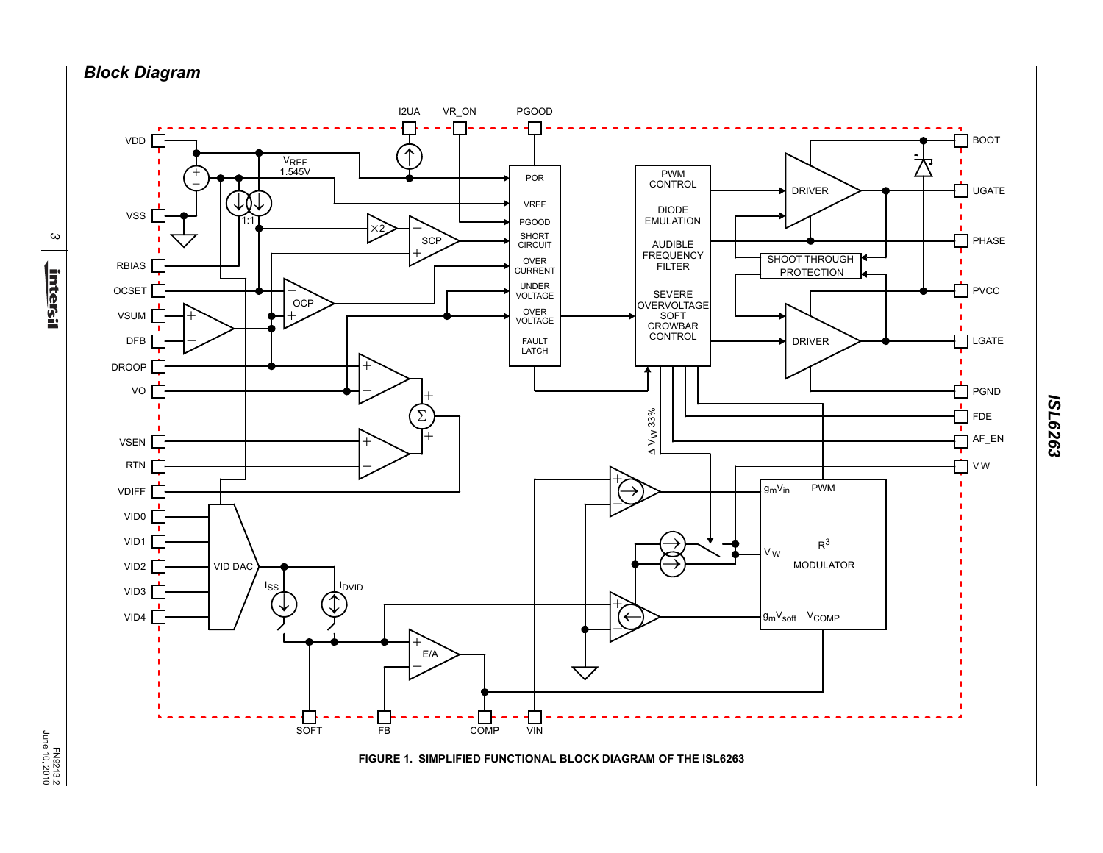*Block Diagram*



**FIGURE 1. SIMPLIFIED FUNCTIONAL BLOCK DIAGRAM OF THE ISL6263**

*ISL6263*

EN9213.2<br>June 10, 2010 June 10, 2010

*3*

<u>intersil</u>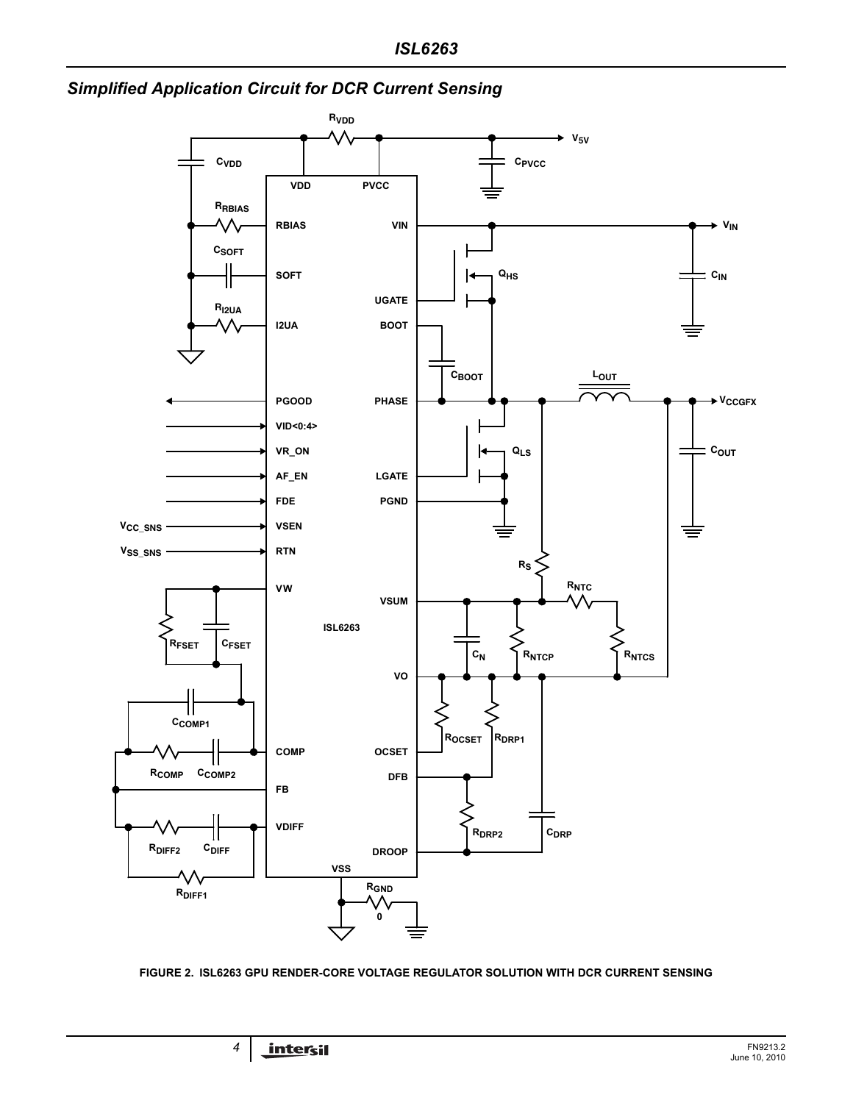



<span id="page-3-0"></span>**FIGURE 2. ISL6263 GPU RENDER-CORE VOLTAGE REGULATOR SOLUTION WITH DCR CURRENT SENSING**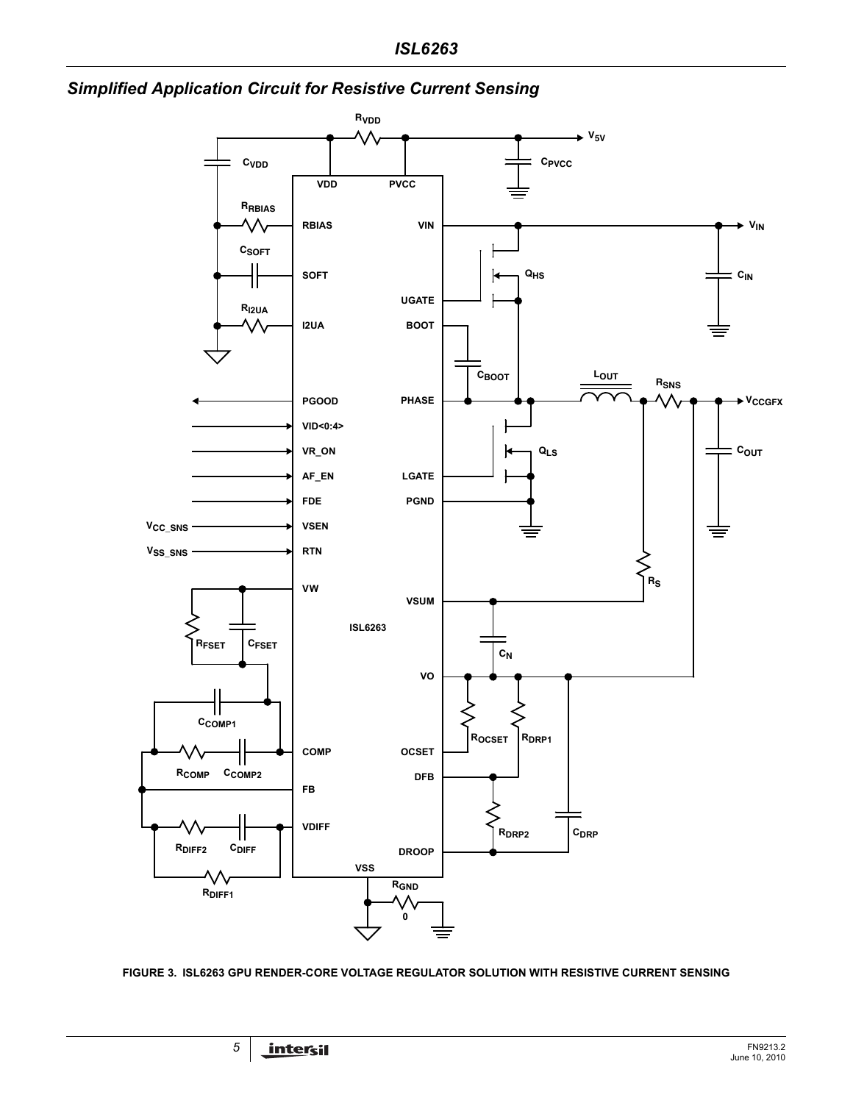



<span id="page-4-0"></span>**FIGURE 3. ISL6263 GPU RENDER-CORE VOLTAGE REGULATOR SOLUTION WITH RESISTIVE CURRENT SENSING**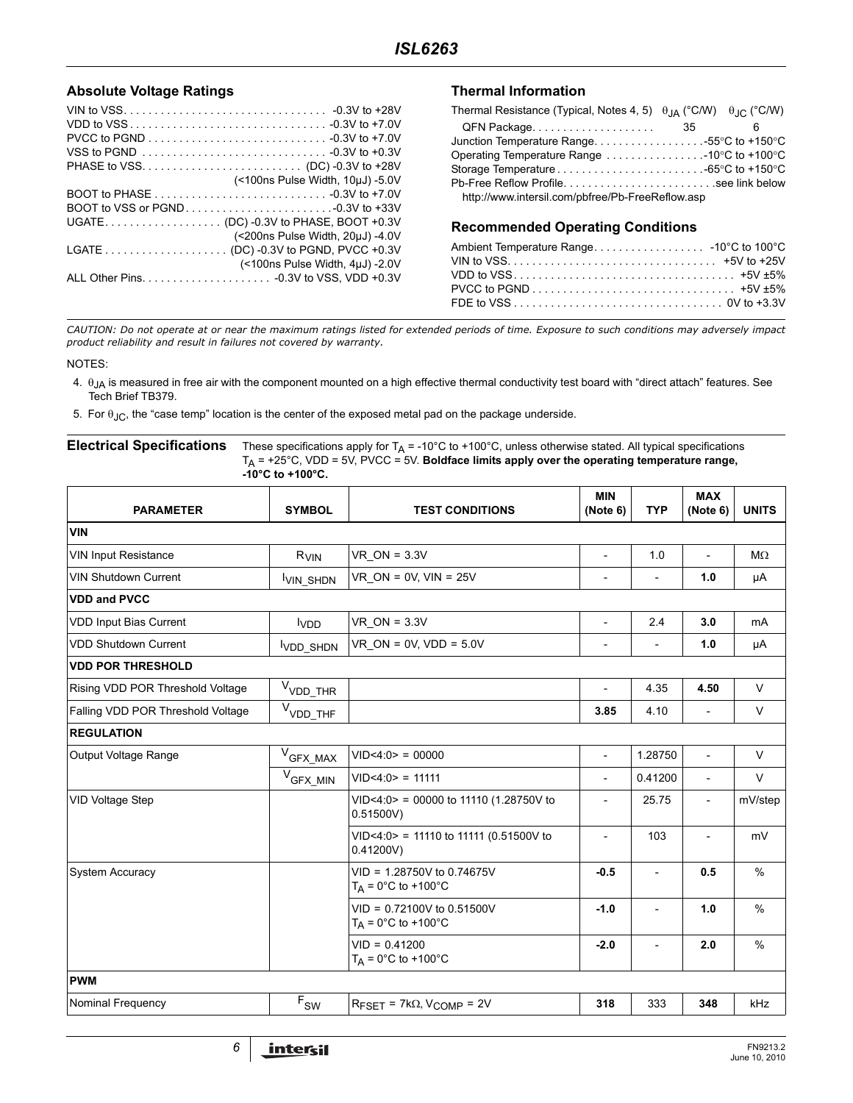#### **Absolute Voltage Ratings**

| VSS to PGND $\ldots \ldots \ldots \ldots \ldots \ldots \ldots \ldots \ldots \ldots$ -0.3V to +0.3V |
|----------------------------------------------------------------------------------------------------|
|                                                                                                    |
| (<100ns Pulse Width, 10µJ) -5.0V                                                                   |
|                                                                                                    |
|                                                                                                    |
|                                                                                                    |
| (<200ns Pulse Width, 20µJ) -4.0V                                                                   |
|                                                                                                    |
| (<100ns Pulse Width, 4µJ) -2.0V                                                                    |
|                                                                                                    |
|                                                                                                    |

#### **Thermal Information**

| Thermal Resistance (Typical, Notes 4, 5) $\theta_{IA}$ (°C/W) $\theta_{IA}$ (°C/W) |   |
|------------------------------------------------------------------------------------|---|
|                                                                                    | ĥ |
| Junction Temperature Range55 °C to +150 °C                                         |   |
| Operating Temperature Range $\ldots \ldots \ldots \ldots \ldots$ -10°C to +100°C   |   |
|                                                                                    |   |
| Pb-Free Reflow Profilesee link below                                               |   |
| http://www.intersil.com/pbfree/Pb-FreeReflow.asp                                   |   |

#### **Recommended Operating Conditions**

*CAUTION: Do not operate at or near the maximum ratings listed for extended periods of time. Exposure to such conditions may adversely impact product reliability and result in failures not covered by warranty.*

#### NOTES:

- <span id="page-5-0"></span>4. θJA is measured in free air with the component mounted on a high effective thermal conductivity test board with "direct attach" features. See Tech Brief TB379.
- <span id="page-5-1"></span>5. For  $\theta_{\text{JC}}$ , the "case temp" location is the center of the exposed metal pad on the package underside.

#### **Electrical Specifications** These specifications apply for  $T_A = -10^\circ \text{C}$  to +100°C, unless otherwise stated. All typical specifications TA = +25°C, VDD = 5V, PVCC = 5V. **Boldface limits apply over the operating temperature range, -10°C to +100°C.**

| <b>PARAMETER</b>                  | <b>SYMBOL</b>                    | <b>TEST CONDITIONS</b>                                             |                          | <b>TYP</b>               | <b>MAX</b><br>(Note 6) | <b>UNITS</b>  |
|-----------------------------------|----------------------------------|--------------------------------------------------------------------|--------------------------|--------------------------|------------------------|---------------|
| <b>VIN</b>                        |                                  |                                                                    |                          |                          |                        |               |
| <b>VIN Input Resistance</b>       | $R_{VIN}$                        | $VR_ON = 3.3V$                                                     | $\blacksquare$           | 1.0                      |                        | $M\Omega$     |
| <b>VIN Shutdown Current</b>       | VIN SHDN                         | VR ON = $0V$ , VIN = $25V$                                         | $\overline{\phantom{a}}$ |                          | 1.0                    | μA            |
| <b>VDD and PVCC</b>               |                                  |                                                                    |                          |                          |                        |               |
| <b>VDD Input Bias Current</b>     | <b>I</b> VDD                     | $VR_ON = 3.3V$                                                     | $\overline{\phantom{0}}$ | 2.4                      | 3.0                    | mA            |
| <b>VDD Shutdown Current</b>       | V <sub>DD</sub> SH <sub>DN</sub> | $VR$ ON = 0V, VDD = 5.0V                                           | $\overline{\phantom{a}}$ | $\overline{\phantom{0}}$ | 1.0                    | μA            |
| <b>VDD POR THRESHOLD</b>          |                                  |                                                                    |                          |                          |                        |               |
| Rising VDD POR Threshold Voltage  | $V_{VDD\_THR}$                   |                                                                    | $\overline{\phantom{a}}$ | 4.35                     | 4.50                   | $\vee$        |
| Falling VDD POR Threshold Voltage | $V_{VDD\_THF}$                   |                                                                    | 3.85                     | 4.10                     |                        | $\vee$        |
| <b>REGULATION</b>                 |                                  |                                                                    |                          |                          |                        |               |
| Output Voltage Range              | $V_{GFX\_MAX}$                   | VID < 4:0 > 00000                                                  | $\blacksquare$           | 1.28750                  | $\overline{a}$         | $\vee$        |
|                                   | $V_{GFX\_MIN}$                   | VID < 4:0 > 11111                                                  | $\overline{\phantom{0}}$ | 0.41200                  | ÷,                     | $\vee$        |
| <b>VID Voltage Step</b>           |                                  | $VID < 4:0$ = 00000 to 11110 (1.28750V to<br>0.51500V              | $\overline{\phantom{a}}$ | 25.75                    | $\overline{a}$         | mV/step       |
|                                   |                                  | $VID < 4:0$ = 11110 to 11111 (0.51500V to<br>0.41200V)             | $\overline{\phantom{0}}$ | 103                      | $\overline{a}$         | mV            |
| <b>System Accuracy</b>            |                                  | $VID = 1.28750V$ to 0.74675V<br>$T_A = 0^\circ \text{C}$ to +100°C | $-0.5$                   | $\overline{\phantom{a}}$ | 0.5                    | $\frac{0}{0}$ |
|                                   |                                  | $VID = 0.72100V$ to 0.51500V<br>$T_A = 0^\circ C$ to +100°C        | $-1.0$                   | $\overline{a}$           | 1.0                    | $\%$          |
|                                   |                                  | $VID = 0.41200$<br>$T_A = 0^\circ \text{C}$ to +100°C              | $-2.0$                   | $\overline{\phantom{0}}$ | 2.0                    | $\frac{0}{0}$ |
| <b>PWM</b>                        |                                  |                                                                    |                          |                          |                        |               |
| Nominal Frequency                 | $\mathsf{F}_{\mathsf{SW}}$       | $R_{\text{FSET}}$ = 7k $\Omega$ , V <sub>COMP</sub> = 2V           | 318                      | 333                      | 348                    | kHz           |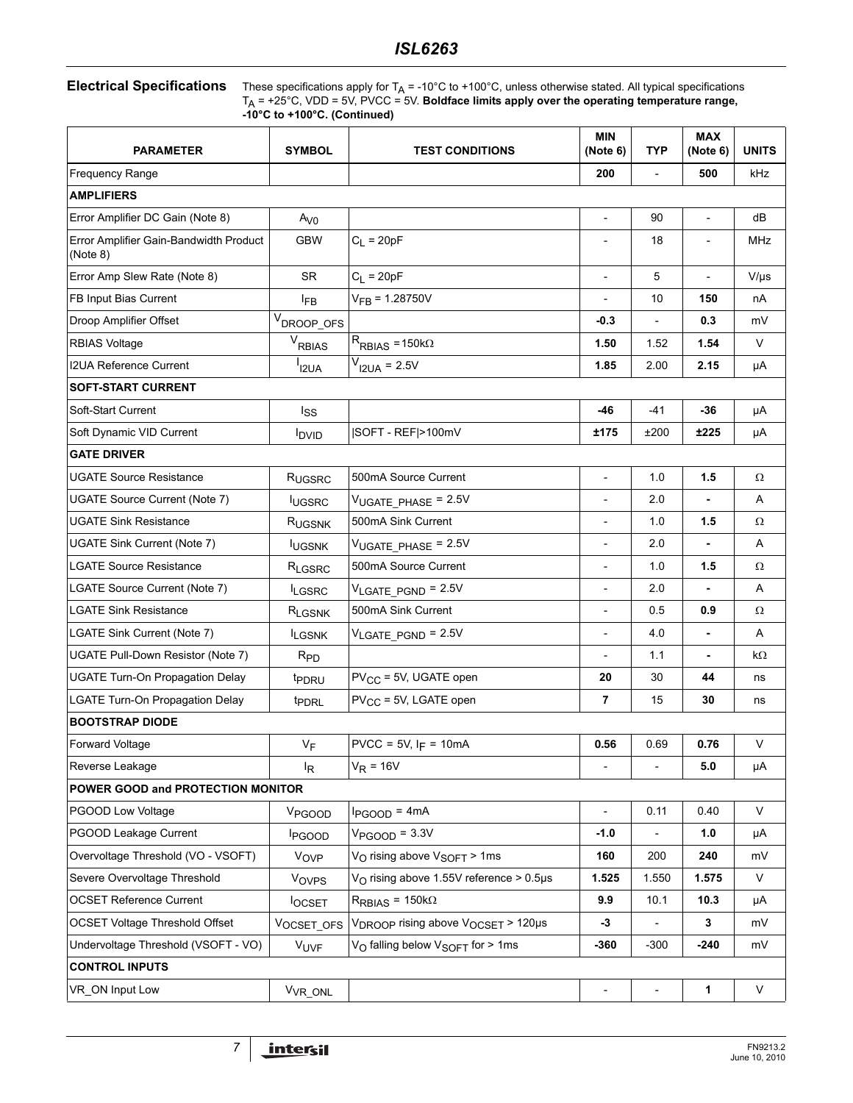# Electrical Specifications These specifications apply for T<sub>A</sub> = -10°C to +100°C, unless otherwise stated. All typical specifications

 $T_A$  = +25°C, VDD = 5V, PVCC = 5V. **Boldface limits apply over the operating temperature range, -10°C to +100°C. (Continued)**

| <b>PARAMETER</b>                                   | <b>SYMBOL</b>       | <b>TEST CONDITIONS</b>                                     |                          | <b>TYP</b>               | <b>MAX</b><br>(Note 6)   | <b>UNITS</b> |
|----------------------------------------------------|---------------------|------------------------------------------------------------|--------------------------|--------------------------|--------------------------|--------------|
| Frequency Range                                    |                     |                                                            | 200                      |                          | 500                      | kHz          |
| <b>AMPLIFIERS</b>                                  |                     |                                                            |                          |                          |                          |              |
| Error Amplifier DC Gain (Note 8)                   | A <sub>V0</sub>     |                                                            | $\overline{\phantom{a}}$ | 90                       | $\overline{\phantom{a}}$ | dB           |
| Error Amplifier Gain-Bandwidth Product<br>(Note 8) | <b>GBW</b>          | $C_L = 20pF$                                               |                          | 18                       |                          | MHz          |
| Error Amp Slew Rate (Note 8)                       | <b>SR</b>           | $C_L = 20pF$                                               | $\overline{\phantom{a}}$ | 5                        | $\overline{a}$           | $V/\mu s$    |
| FB Input Bias Current                              | l <sub>FB</sub>     | $V_{FB} = 1.28750V$                                        |                          | 10                       | 150                      | nA           |
| Droop Amplifier Offset                             | $V_{DROOP\_OFS}$    |                                                            | $-0.3$                   |                          | 0.3                      | mV           |
| <b>RBIAS Voltage</b>                               | $V_{RBIAS}$         | $R_{RBIAS} = 150k\Omega$                                   | 1.50                     | 1.52                     | 1.54                     | $\vee$       |
| <b>I2UA Reference Current</b>                      | I <sub>2UA</sub>    | $V_{I2UA} = 2.5V$                                          |                          | 2.00                     | 2.15                     | μA           |
| <b>SOFT-START CURRENT</b>                          |                     |                                                            |                          |                          |                          |              |
| Soft-Start Current                                 | <sub>lss</sub>      |                                                            | $-46$                    | $-41$                    | -36                      | μA           |
| Soft Dynamic VID Current                           | <b>IDVID</b>        | SOFT - REF >100mV                                          | ±175                     | ±200                     | ±225                     | μA           |
| <b>GATE DRIVER</b>                                 |                     |                                                            |                          |                          |                          |              |
| <b>UGATE Source Resistance</b>                     | RUGSRC              | 500mA Source Current                                       | $\overline{\phantom{0}}$ | 1.0                      | 1.5                      | $\Omega$     |
| UGATE Source Current (Note 7)                      | <b>IUGSRC</b>       | $V_{UGATE}$ PHASE = 2.5V                                   | $\overline{a}$           | 2.0                      |                          | A            |
| <b>UGATE Sink Resistance</b>                       | R <sub>UGSNK</sub>  | 500mA Sink Current                                         |                          | 1.0                      | 1.5                      | Ω            |
| UGATE Sink Current (Note 7)                        | <b>IUGSNK</b>       | VUGATE_PHASE = 2.5V                                        | $\overline{\phantom{0}}$ | 2.0                      | $\blacksquare$           | A            |
| <b>LGATE Source Resistance</b>                     | RLGSRC              | 500mA Source Current                                       | $\overline{\phantom{0}}$ | 1.0                      | 1.5                      | Ω            |
| LGATE Source Current (Note 7)                      | <sup>I</sup> LGSRC  | $V_{\text{LGATE\_PGND}}$ = 2.5V                            |                          | 2.0                      |                          | Α            |
| <b>LGATE Sink Resistance</b>                       | RLGSNK              | 500mA Sink Current                                         | $\overline{\phantom{a}}$ | 0.5                      | 0.9                      | $\Omega$     |
| LGATE Sink Current (Note 7)                        | <b>LGSNK</b>        | $V_{LGATE}$ PGND = 2.5V                                    | $\overline{\phantom{a}}$ | 4.0                      | $\blacksquare$           | A            |
| UGATE Pull-Down Resistor (Note 7)                  | $R_{PD}$            |                                                            |                          | 1.1                      |                          | kΩ           |
| <b>UGATE Turn-On Propagation Delay</b>             | t <sub>PDRU</sub>   | $PV_{CC}$ = 5V, UGATE open                                 | 20                       | 30                       | 44                       | ns           |
| LGATE Turn-On Propagation Delay                    | t <sub>PDRL</sub>   | $PV_{CC}$ = 5V, LGATE open                                 | 7                        | 15                       | 30                       | ns           |
| <b>BOOTSTRAP DIODE</b>                             |                     |                                                            |                          |                          |                          |              |
| Forward Voltage                                    | $V_F$               | $PVCC = 5V$ , $I_F = 10mA$                                 | 0.56                     | 0.69                     | 0.76                     | $\vee$       |
| Reverse Leakage                                    | l <sub>R</sub>      | $V_R = 16V$                                                | $\overline{\phantom{a}}$ | $\overline{\phantom{0}}$ | 5.0                      | μA           |
| POWER GOOD and PROTECTION MONITOR                  |                     |                                                            |                          |                          |                          |              |
| PGOOD Low Voltage                                  | V <sub>PGOOD</sub>  | $I_{PGOOD} = 4mA$                                          | $\blacksquare$           | 0.11                     | 0.40                     | $\vee$       |
| PGOOD Leakage Current                              | <b>I</b> PGOOD      | $V_{PGOOD} = 3.3V$                                         | -1.0                     |                          | 1.0                      | μA           |
| Overvoltage Threshold (VO - VSOFT)                 | VOVP                | $VO$ rising above $VSOFF$ > 1ms                            | 160                      | 200                      | 240                      | mV           |
| Severe Overvoltage Threshold                       | VOVPS               | V <sub>O</sub> rising above 1.55V reference > 0.5µs        | 1.525                    | 1.550                    | 1.575                    | $\vee$       |
| <b>OCSET Reference Current</b>                     | <b>locset</b>       | $R_{RBIAS} = 150k\Omega$                                   | 9.9                      | 10.1                     | 10.3                     | μA           |
| <b>OCSET Voltage Threshold Offset</b>              | VOCSET_OFS          | V <sub>DROOP</sub> rising above V <sub>OCSET</sub> > 120µs | -3                       |                          | 3                        | mV           |
| Undervoltage Threshold (VSOFT - VO)                | <b>VUVF</b>         | V <sub>O</sub> falling below V <sub>SOFT</sub> for > 1ms   | -360                     | $-300$                   | -240                     | mV           |
| <b>CONTROL INPUTS</b>                              |                     |                                                            |                          |                          |                          |              |
| VR ON Input Low                                    | V <sub>VR_ONL</sub> |                                                            | $\overline{\phantom{a}}$ | $\overline{\phantom{0}}$ | $\mathbf{1}$             | V            |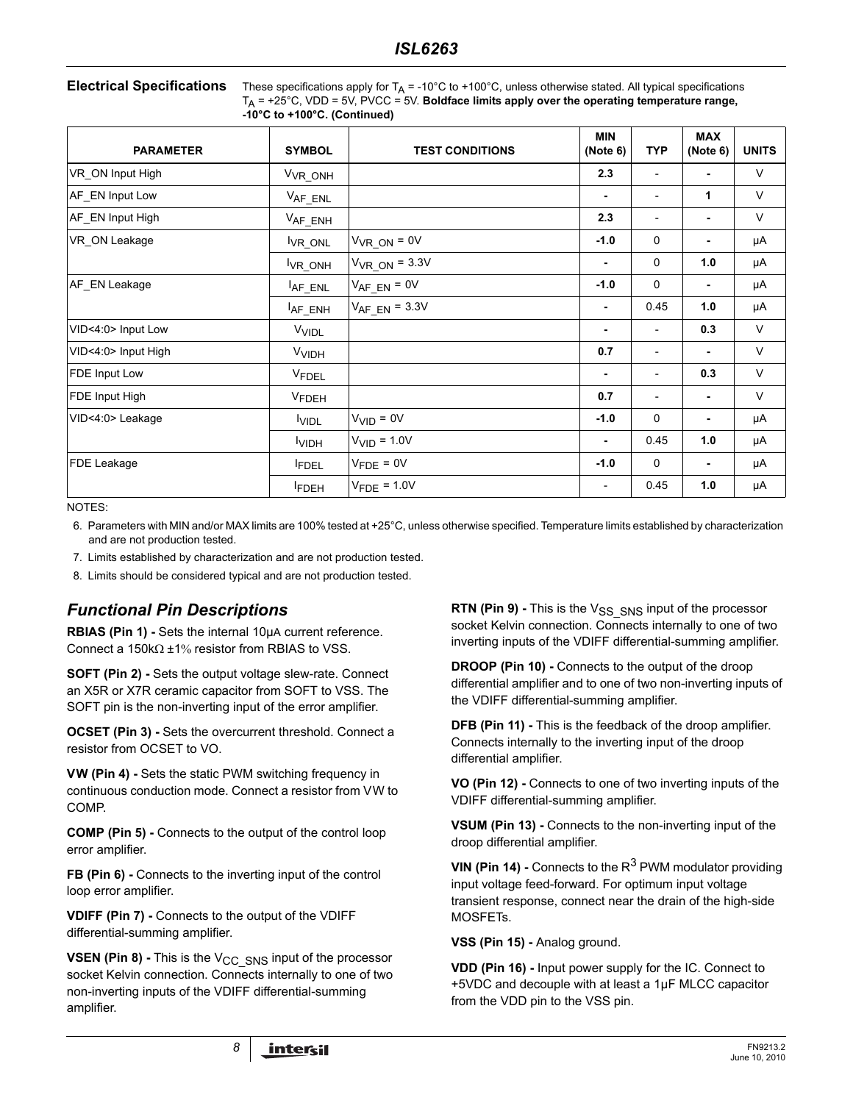| <b>Electrical Specifications</b> | These specific |
|----------------------------------|----------------|
|                                  | $T = 12500$    |

Electrical Specifications apply for T<sub>A</sub> = -10°C to +100°C, unless otherwise stated. All typical specifications  $T_A$  = +25°C, VDD = 5V, PVCC = 5V. **Boldface limits apply over the operating temperature range, -10°C to +100°C. (Continued)**

| <b>PARAMETER</b>    | <b>SYMBOL</b>           | <b>TEST CONDITIONS</b>  | <b>MIN</b><br>(Note 6)   | <b>TYP</b>               | <b>MAX</b><br>(Note 6) | <b>UNITS</b> |
|---------------------|-------------------------|-------------------------|--------------------------|--------------------------|------------------------|--------------|
| VR_ON Input High    | V <sub>VR</sub> ONH     |                         | 2.3                      | $\overline{\phantom{0}}$ | ٠                      | $\vee$       |
| AF_EN Input Low     | $V_{AF\_ENL}$           |                         | ٠                        | $\qquad \qquad -$        | 1                      | $\vee$       |
| AF_EN Input High    | $V_{AF\_ENH}$           |                         | 2.3                      | $\overline{\phantom{a}}$ | ٠                      | V            |
| VR_ON Leakage       | VR_ONL                  | $V_{VR_ON} = 0V$        | $-1.0$                   | $\mathbf 0$              |                        | μA           |
|                     | VR_ONH                  | $V_{VR ON} = 3.3V$      | ٠                        | $\mathbf 0$              | 1.0                    | μA           |
| AF EN Leakage       | AF_ENL                  | $V_{AF_EN} = 0V$        | $-1.0$                   | $\mathbf{0}$             | ۰                      | μA           |
|                     | AF_ENH                  | $V_{AF_EN}$ = 3.3V      | ٠                        | 0.45                     | 1.0                    | μA           |
| VID<4:0> Input Low  | <b>V<sub>VIDL</sub></b> |                         | ٠                        |                          | 0.3                    | $\vee$       |
| VID<4:0> Input High | VVIDH                   |                         | 0.7                      | $\overline{\phantom{0}}$ | ٠                      | $\vee$       |
| FDE Input Low       | <b>VFDEL</b>            |                         | ٠                        | $\overline{\phantom{0}}$ | 0.3                    | $\vee$       |
| FDE Input High      | <b>V<sub>FDEH</sub></b> |                         | 0.7                      | $\overline{\phantom{0}}$ | ٠                      | $\vee$       |
| VID<4:0> Leakage    | <b>VIDL</b>             | $VVID = 0V$             | $-1.0$                   | $\mathbf 0$              |                        | μA           |
|                     | <b>VIDH</b>             | $VVID = 1.0V$           | ٠                        | 0.45                     | 1.0                    | μA           |
| FDE Leakage         | <b>FDEL</b>             | $V_{\text{FDE}} = 0V$   | $-1.0$                   | $\mathbf 0$              |                        | μA           |
|                     | <b>FDEH</b>             | $V_{\text{FDE}}$ = 1.0V | $\overline{\phantom{a}}$ | 0.45                     | 1.0                    | μA           |

NOTES:

<span id="page-7-0"></span>6. Parameters with MIN and/or MAX limits are 100% tested at +25°C, unless otherwise specified. Temperature limits established by characterization and are not production tested.

- <span id="page-7-2"></span>7. Limits established by characterization and are not production tested.
- <span id="page-7-1"></span>8. Limits should be considered typical and are not production tested.

## *Functional Pin Descriptions*

**RBIAS (Pin 1) -** Sets the internal 10µA current reference. Connect a 150kΩ +1% resistor from RBIAS to VSS.

**SOFT (Pin 2) -** Sets the output voltage slew-rate. Connect an X5R or X7R ceramic capacitor from SOFT to VSS. The SOFT pin is the non-inverting input of the error amplifier.

**OCSET (Pin 3) - Sets the overcurrent threshold. Connect a** resistor from OCSET to VO.

**VW (Pin 4) -** Sets the static PWM switching frequency in continuous conduction mode. Connect a resistor from VW to COMP.

**COMP (Pin 5) -** Connects to the output of the control loop error amplifier.

**FB (Pin 6) -** Connects to the inverting input of the control loop error amplifier.

**VDIFF (Pin 7) -** Connects to the output of the VDIFF differential-summing amplifier.

**VSEN (Pin 8) - This is the V<sub>CC</sub> SNS input of the processor** socket Kelvin connection. Connects internally to one of two non-inverting inputs of the VDIFF differential-summing amplifier.

**RTN (Pin 9) -** This is the V<sub>SS</sub> <sub>SNS</sub> input of the processor socket Kelvin connection. Connects internally to one of two inverting inputs of the VDIFF differential-summing amplifier.

**DROOP (Pin 10) -** Connects to the output of the droop differential amplifier and to one of two non-inverting inputs of the VDIFF differential-summing amplifier.

**DFB (Pin 11) -** This is the feedback of the droop amplifier. Connects internally to the inverting input of the droop differential amplifier.

**VO (Pin 12) -** Connects to one of two inverting inputs of the VDIFF differential-summing amplifier.

**VSUM (Pin 13) -** Connects to the non-inverting input of the droop differential amplifier.

**VIN (Pin 14) -** Connects to the R<sup>3</sup> PWM modulator providing input voltage feed-forward. For optimum input voltage transient response, connect near the drain of the high-side MOSFETs.

**VSS (Pin 15) -** Analog ground.

**VDD (Pin 16) -** Input power supply for the IC. Connect to +5VDC and decouple with at least a 1µF MLCC capacitor from the VDD pin to the VSS pin.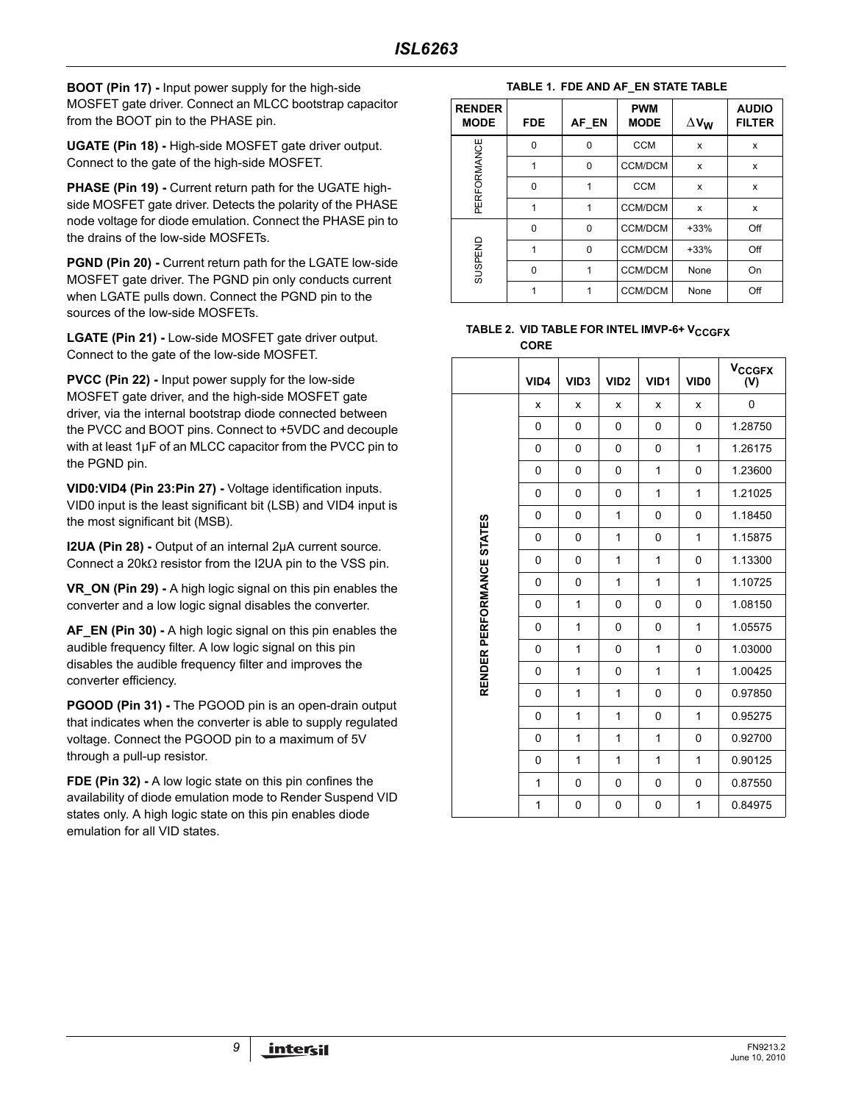**BOOT (Pin 17) -** Input power supply for the high-side MOSFET gate driver. Connect an MLCC bootstrap capacitor from the BOOT pin to the PHASE pin.

**UGATE (Pin 18) -** High-side MOSFET gate driver output. Connect to the gate of the high-side MOSFET.

**PHASE (Pin 19) - Current return path for the UGATE high**side MOSFET gate driver. Detects the polarity of the PHASE node voltage for diode emulation. Connect the PHASE pin to the drains of the low-side MOSFETs.

**PGND (Pin 20) - Current return path for the LGATE low-side** MOSFET gate driver. The PGND pin only conducts current when LGATE pulls down. Connect the PGND pin to the sources of the low-side MOSFETs.

**LGATE (Pin 21) -** Low-side MOSFET gate driver output. Connect to the gate of the low-side MOSFET.

**PVCC (Pin 22) -** Input power supply for the low-side MOSFET gate driver, and the high-side MOSFET gate driver, via the internal bootstrap diode connected between the PVCC and BOOT pins. Connect to +5VDC and decouple with at least 1µF of an MLCC capacitor from the PVCC pin to the PGND pin.

**VID0:VID4 (Pin 23:Pin 27) -** Voltage identification inputs. VID0 input is the least significant bit (LSB) and VID4 input is the most significant bit (MSB).

**I2UA (Pin 28) -** Output of an internal 2µA current source. Connect a 20kΩ resistor from the I2UA pin to the VSS pin.

**VR\_ON (Pin 29) -** A high logic signal on this pin enables the converter and a low logic signal disables the converter.

**AF\_EN (Pin 30) -** A high logic signal on this pin enables the audible frequency filter. A low logic signal on this pin disables the audible frequency filter and improves the converter efficiency.

**PGOOD (Pin 31) -** The PGOOD pin is an open-drain output that indicates when the converter is able to supply regulated voltage. Connect the PGOOD pin to a maximum of 5V through a pull-up resistor.

**FDE (Pin 32) -** A low logic state on this pin confines the availability of diode emulation mode to Render Suspend VID states only. A high logic state on this pin enables diode emulation for all VID states.

#### **TABLE 1. FDE AND AF\_EN STATE TABLE**

| <b>RENDER</b><br><b>MODE</b> | <b>FDE</b> | AF EN    | <b>PWM</b><br><b>MODE</b> | $\Delta$ V <sub>W</sub> | <b>AUDIO</b><br><b>FILTER</b> |
|------------------------------|------------|----------|---------------------------|-------------------------|-------------------------------|
|                              | 0          | $\Omega$ | <b>CCM</b>                | X                       | x                             |
| PERFORMANCE                  |            | $\Omega$ | <b>CCM/DCM</b>            | X                       | x                             |
|                              | 0          | 1        | <b>CCM</b>                | X                       | x                             |
|                              | 1          | 1        | <b>CCM/DCM</b>            | x                       | x                             |
|                              | 0          | $\Omega$ | <b>CCM/DCM</b>            | $+33%$                  | Off                           |
|                              | 1          | $\Omega$ | <b>CCM/DCM</b>            | $+33%$                  | Off                           |
| SUSPEND                      | 0          | 1        | <b>CCM/DCM</b>            | None                    | On                            |
|                              |            |          | <b>CCM/DCM</b>            | None                    | Off                           |

#### **TABLE 2. VID TABLE FOR INTEL IMVP-6+ V<sub>CCGFX</sub> CORE**

|                           | VID4         | VID <sub>3</sub> | VID <sub>2</sub> | VID1         | VID <sub>0</sub> | <b>V<sub>CCGFX</sub></b><br>(V) |
|---------------------------|--------------|------------------|------------------|--------------|------------------|---------------------------------|
|                           | x            | x                | X                | x            | x                | 0                               |
|                           | 0            | 0                | 0                | 0            | 0                | 1.28750                         |
|                           | $\mathbf{0}$ | 0                | 0                | $\mathbf{0}$ | 1                | 1.26175                         |
|                           | $\mathbf{0}$ | 0                | 0                | 1            | 0                | 1.23600                         |
|                           | 0            | 0                | 0                | 1            | 1                | 1.21025                         |
|                           | 0            | 0                | $\mathbf{1}$     | 0            | 0                | 1.18450                         |
|                           | 0            | 0                | 1                | 0            | 1                | 1.15875                         |
| RENDER PERFORMANCE STATES | 0            | 0                | 1                | 1            | 0                | 1.13300                         |
|                           | $\mathbf{0}$ | $\Omega$         | 1                | 1            | 1                | 1.10725                         |
|                           | 0            | 1                | 0                | 0            | 0                | 1.08150                         |
|                           | $\mathbf{0}$ | 1                | 0                | $\mathbf{0}$ | 1                | 1.05575                         |
|                           | 0            | 1                | 0                | $\mathbf{1}$ | 0                | 1.03000                         |
|                           | 0            | 1                | 0                | 1            | 1                | 1.00425                         |
|                           | $\mathbf{0}$ | 1                | 1                | 0            | 0                | 0.97850                         |
|                           | 0            | 1                | 1                | 0            | 1                | 0.95275                         |
|                           | 0            | 1                | 1                | 1            | 0                | 0.92700                         |
|                           | $\mathbf{0}$ | 1                | 1                | 1            | 1                | 0.90125                         |
|                           | 1            | 0                | $\mathbf 0$      | 0            | 0                | 0.87550                         |
|                           | 1            | 0                | 0                | 0            | 1                | 0.84975                         |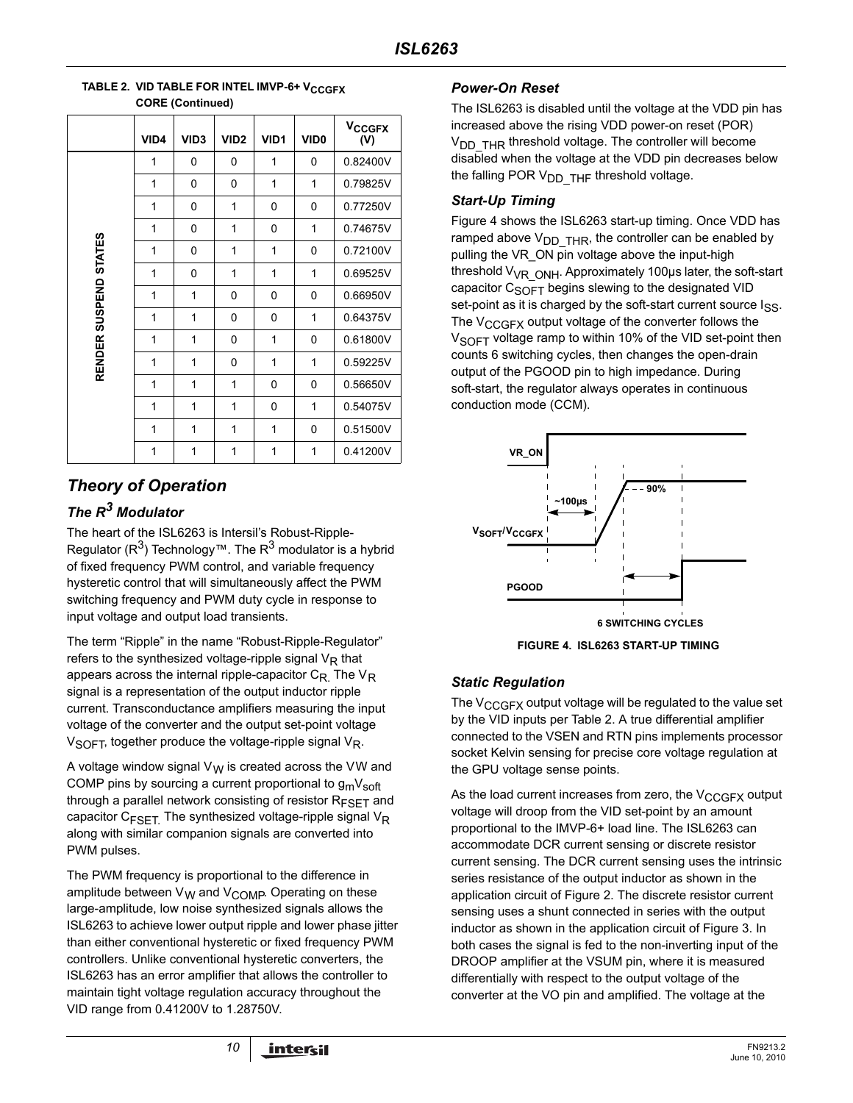|                       |      | - 1----          |                  |                  |                  |                                 |
|-----------------------|------|------------------|------------------|------------------|------------------|---------------------------------|
|                       | VID4 | VID <sub>3</sub> | VID <sub>2</sub> | VID <sub>1</sub> | VID <sub>0</sub> | <b>V<sub>CCGFX</sub></b><br>(V) |
|                       | 1    | 0                | 0                | 1                | 0                | 0.82400V                        |
|                       | 1    | 0                | $\Omega$         | 1                | 1                | 0.79825V                        |
|                       | 1    | 0                | 1                | 0                | 0                | 0.77250V                        |
|                       | 1    | 0                | 1                | 0                | 1                | 0.74675V                        |
|                       | 1    | 0                | 1                | 1                | 0                | 0.72100V                        |
|                       | 1    | 0                | 1                | 1                | 1                | 0.69525V                        |
|                       | 1    | 1                | 0                | 0                | 0                | 0.66950V                        |
|                       | 1    | 1                | 0                | 0                | 1                | 0.64375V                        |
|                       | 1    | 1                | 0                | 1                | 0                | 0.61800V                        |
| RENDER SUSPEND STATES | 1    | 1                | 0                | 1                | 1                | 0.59225V                        |
|                       | 1    | 1                | 1                | 0                | 0                | 0.56650V                        |
|                       | 1    | 1                | 1                | 0                | 1                | 0.54075V                        |
|                       | 1    | 1                | 1                | 1                | 0                | 0.51500V                        |
|                       | 1    | 1                | 1                | 1                | 1                | 0.41200V                        |

#### **TABLE 2. VID TABLE FOR INTEL IMVP-6+ V<sub>CCGFX</sub> CORE (Continued)**

## *Theory of Operation*

## *The R3 Modulator*

The heart of the ISL6263 is Intersil's Robust-Ripple-Regulator ( $R^3$ ) Technology™. The  $R^3$  modulator is a hybrid of fixed frequency PWM control, and variable frequency hysteretic control that will simultaneously affect the PWM switching frequency and PWM duty cycle in response to input voltage and output load transients.

The term "Ripple" in the name "Robust-Ripple-Regulator" refers to the synthesized voltage-ripple signal  $V_R$  that appears across the internal ripple-capacitor  $C_R$ . The  $V_R$ signal is a representation of the output inductor ripple current. Transconductance amplifiers measuring the input voltage of the converter and the output set-point voltage  $V_{\text{SOFT}}$ , together produce the voltage-ripple signal  $V_{\text{R}}$ .

A voltage window signal  $V_W$  is created across the VW and COMP pins by sourcing a current proportional to  $g_{m}V_{soft}$ through a parallel network consisting of resistor  $R_{FSFT}$  and capacitor  $C_{\text{FSET}}$  The synthesized voltage-ripple signal  $V_{\text{R}}$ along with similar companion signals are converted into PWM pulses.

The PWM frequency is proportional to the difference in amplitude between  $V_W$  and  $V_{\text{COMP}}$ . Operating on these large-amplitude, low noise synthesized signals allows the ISL6263 to achieve lower output ripple and lower phase jitter than either conventional hysteretic or fixed frequency PWM controllers. Unlike conventional hysteretic converters, the ISL6263 has an error amplifier that allows the controller to maintain tight voltage regulation accuracy throughout the VID range from 0.41200V to 1.28750V.

## *Power-On Reset*

The ISL6263 is disabled until the voltage at the VDD pin has increased above the rising VDD power-on reset (POR)  $V<sub>DD</sub>$  THR threshold voltage. The controller will become disabled when the voltage at the VDD pin decreases below the falling POR  $V_{DD}$  THF threshold voltage.

## *Start-Up Timing*

Figure [4](#page-9-0) shows the ISL6263 start-up timing. Once VDD has ramped above  $V_{DD}$  THR, the controller can be enabled by pulling the VR\_ON pin voltage above the input-high threshold  $V_{VR}$  <sub>ONH</sub>. Approximately 100 $\mu$ s later, the soft-start capacitor  $C_{\text{SOFT}}$  begins slewing to the designated VID set-point as it is charged by the soft-start current source Iss. The V<sub>CCGFX</sub> output voltage of the converter follows the  $V<sub>SOFF</sub>$  voltage ramp to within 10% of the VID set-point then counts 6 switching cycles, then changes the open-drain output of the PGOOD pin to high impedance. During soft-start, the regulator always operates in continuous conduction mode (CCM).



**FIGURE 4. ISL6263 START-UP TIMING**

## <span id="page-9-0"></span>*Static Regulation*

The  $V_{CCGFX}$  output voltage will be regulated to the value set by the VID inputs per Table 2. A true differential amplifier connected to the VSEN and RTN pins implements processor socket Kelvin sensing for precise core voltage regulation at the GPU voltage sense points.

As the load current increases from zero, the  $V_{CCGFX}$  output voltage will droop from the VID set-point by an amount proportional to the IMVP-6+ load line. The ISL6263 can accommodate DCR current sensing or discrete resistor current sensing. The DCR current sensing uses the intrinsic series resistance of the output inductor as shown in the application circuit of Figure [2](#page-3-0). The discrete resistor current sensing uses a shunt connected in series with the output inductor as shown in the application circuit of Figure [3.](#page-4-0) In both cases the signal is fed to the non-inverting input of the DROOP amplifier at the VSUM pin, where it is measured differentially with respect to the output voltage of the converter at the VO pin and amplified. The voltage at the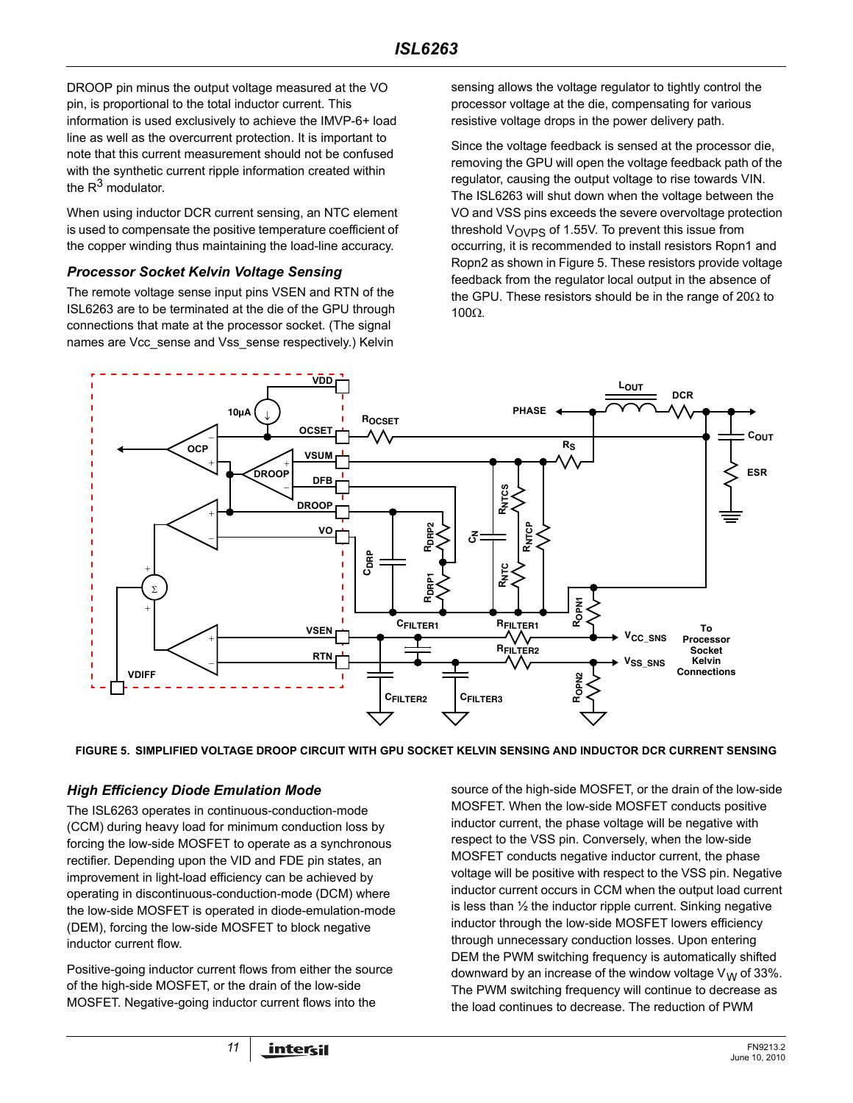DROOP pin minus the output voltage measured at the VO pin, is proportional to the total inductor current. This information is used exclusively to achieve the IMVP-6+ load line as well as the overcurrent protection. It is important to note that this current measurement should not be confused with the synthetic current ripple information created within the  $R^3$  modulator.

When using inductor DCR current sensing, an NTC element is used to compensate the positive temperature coefficient of the copper winding thus maintaining the load-line accuracy.

#### *Processor Socket Kelvin Voltage Sensing*

The remote voltage sense input pins VSEN and RTN of the ISL6263 are to be terminated at the die of the GPU through connections that mate at the processor socket. (The signal names are Vcc\_sense and Vss\_sense respectively.) Kelvin

sensing allows the voltage regulator to tightly control the processor voltage at the die, compensating for various resistive voltage drops in the power delivery path.

Since the voltage feedback is sensed at the processor die, removing the GPU will open the voltage feedback path of the regulator, causing the output voltage to rise towards VIN. The ISL6263 will shut down when the voltage between the VO and VSS pins exceeds the severe overvoltage protection threshold  $V_{\text{OVPS}}$  of 1.55V. To prevent this issue from occurring, it is recommended to install resistors Ropn1 and Ropn2 as shown in Figure 5. These resistors provide voltage feedback from the regulator local output in the absence of the GPU. These resistors should be in the range of 20 $\Omega$  to 100Ω.



**FIGURE 5. SIMPLIFIED VOLTAGE DROOP CIRCUIT WITH GPU SOCKET KELVIN SENSING AND INDUCTOR DCR CURRENT SENSING**

#### *High Efficiency Diode Emulation Mode*

The ISL6263 operates in continuous-conduction-mode (CCM) during heavy load for minimum conduction loss by forcing the low-side MOSFET to operate as a synchronous rectifier. Depending upon the VID and FDE pin states, an improvement in light-load efficiency can be achieved by operating in discontinuous-conduction-mode (DCM) where the low-side MOSFET is operated in diode-emulation-mode (DEM), forcing the low-side MOSFET to block negative inductor current flow.

Positive-going inductor current flows from either the source of the high-side MOSFET, or the drain of the low-side MOSFET. Negative-going inductor current flows into the

source of the high-side MOSFET, or the drain of the low-side MOSFET. When the low-side MOSFET conducts positive inductor current, the phase voltage will be negative with respect to the VSS pin. Conversely, when the low-side MOSFET conducts negative inductor current, the phase voltage will be positive with respect to the VSS pin. Negative inductor current occurs in CCM when the output load current is less than ½ the inductor ripple current. Sinking negative inductor through the low-side MOSFET lowers efficiency through unnecessary conduction losses. Upon entering DEM the PWM switching frequency is automatically shifted downward by an increase of the window voltage  $V_W$  of 33%. The PWM switching frequency will continue to decrease as the load continues to decrease. The reduction of PWM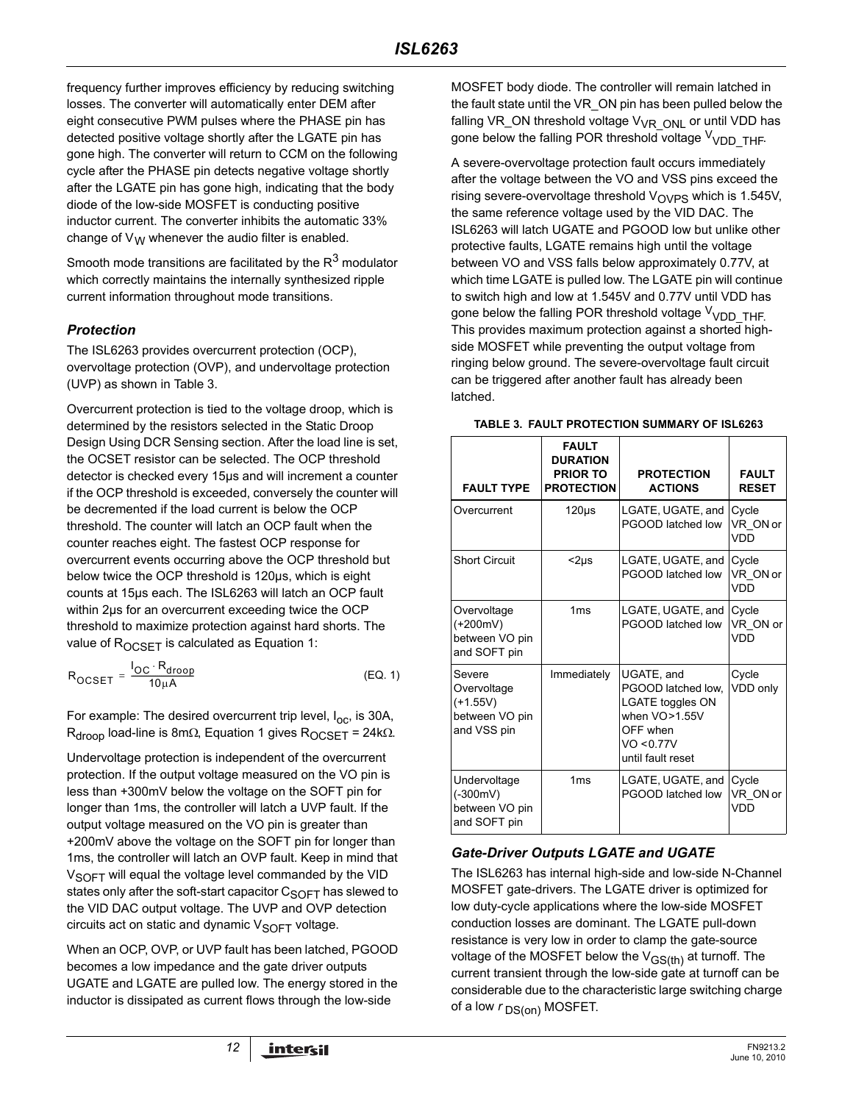frequency further improves efficiency by reducing switching losses. The converter will automatically enter DEM after eight consecutive PWM pulses where the PHASE pin has detected positive voltage shortly after the LGATE pin has gone high. The converter will return to CCM on the following cycle after the PHASE pin detects negative voltage shortly after the LGATE pin has gone high, indicating that the body diode of the low-side MOSFET is conducting positive inductor current. The converter inhibits the automatic 33% change of  $V_W$  whenever the audio filter is enabled.

Smooth mode transitions are facilitated by the  $R<sup>3</sup>$  modulator which correctly maintains the internally synthesized ripple current information throughout mode transitions.

## *Protection*

The ISL6263 provides overcurrent protection (OCP), overvoltage protection (OVP), and undervoltage protection (UVP) as shown in Table [3.](#page-11-0)

Overcurrent protection is tied to the voltage droop, which is determined by the resistors selected in the Static Droop Design Using DCR Sensing section. After the load line is set, the OCSET resistor can be selected. The OCP threshold detector is checked every 15µs and will increment a counter if the OCP threshold is exceeded, conversely the counter will be decremented if the load current is below the OCP threshold. The counter will latch an OCP fault when the counter reaches eight. The fastest OCP response for overcurrent events occurring above the OCP threshold but below twice the OCP threshold is 120µs, which is eight counts at 15µs each. The ISL6263 will latch an OCP fault within 2µs for an overcurrent exceeding twice the OCP threshold to maximize protection against hard shorts. The value of ROCSET is calculated as Equation [1:](#page-11-1)

$$
R_{OCSET} = \frac{I_{OC} \cdot R_{drop}}{10 \mu A}
$$
 (EQ. 1)

For example: The desired overcurrent trip level,  $I_{\text{OC}}$ , is 30A, R<sub>droop</sub> load-line is 8mΩ, Equation 1 gives R<sub>OCSET</sub> = 24kΩ.

Undervoltage protection is independent of the overcurrent protection. If the output voltage measured on the VO pin is less than +300mV below the voltage on the SOFT pin for longer than 1ms, the controller will latch a UVP fault. If the output voltage measured on the VO pin is greater than +200mV above the voltage on the SOFT pin for longer than 1ms, the controller will latch an OVP fault. Keep in mind that V<sub>SOFT</sub> will equal the voltage level commanded by the VID states only after the soft-start capacitor  $C_{S^\prime}F$  has slewed to the VID DAC output voltage. The UVP and OVP detection circuits act on static and dynamic  $V_{\text{SOFT}}$  voltage.

When an OCP, OVP, or UVP fault has been latched, PGOOD becomes a low impedance and the gate driver outputs UGATE and LGATE are pulled low. The energy stored in the inductor is dissipated as current flows through the low-side

MOSFET body diode. The controller will remain latched in the fault state until the VR\_ON pin has been pulled below the falling VR\_ON threshold voltage V<sub>VR\_ONL</sub> or until VDD has gone below the falling POR threshold voltage V<sub>VDD</sub> THF.

A severe-overvoltage protection fault occurs immediately after the voltage between the VO and VSS pins exceed the rising severe-overvoltage threshold  $V_{\text{OVPS}}$  which is 1.545V, the same reference voltage used by the VID DAC. The ISL6263 will latch UGATE and PGOOD low but unlike other protective faults, LGATE remains high until the voltage between VO and VSS falls below approximately 0.77V, at which time LGATE is pulled low. The LGATE pin will continue to switch high and low at 1.545V and 0.77V until VDD has gone below the falling POR threshold voltage V<sub>VDD</sub> THF. This provides maximum protection against a shorted highside MOSFET while preventing the output voltage from ringing below ground. The severe-overvoltage fault circuit can be triggered after another fault has already been latched.

<span id="page-11-0"></span>

| <b>FAULT TYPE</b>                                                    | <b>FAULT</b><br><b>DURATION</b><br><b>PRIOR TO</b><br><b>PROTECTION</b> | <b>PROTECTION</b><br><b>ACTIONS</b>                                                                                    | <b>FAULT</b><br><b>RESET</b> |
|----------------------------------------------------------------------|-------------------------------------------------------------------------|------------------------------------------------------------------------------------------------------------------------|------------------------------|
| Overcurrent                                                          | $120\mu s$                                                              | LGATE, UGATE, and<br>PGOOD latched low                                                                                 | Cycle<br>VR ON or<br>VDD     |
| <b>Short Circuit</b>                                                 | $<$ 2 $\mu$ s                                                           | LGATE, UGATE, and<br>PGOOD latched low                                                                                 | Cycle<br>VR ON or<br>VDD     |
| Overvoltage<br>(+200mV)<br>between VO pin<br>and SOFT pin            | 1 <sub>ms</sub>                                                         | LGATE, UGATE, and<br>PGOOD latched low                                                                                 | Cycle<br>VR ON or<br>VDD     |
| Severe<br>Overvoltage<br>$(+1.55V)$<br>between VO pin<br>and VSS pin | Immediately                                                             | UGATE, and<br>PGOOD latched low,<br>LGATE toggles ON<br>when $VO>1.55V$<br>OFF when<br>VO < 0.77V<br>until fault reset | Cycle<br>VDD only            |
| Undervoltage<br>$(-300mV)$<br>between VO pin<br>and SOFT pin         | 1 <sub>ms</sub>                                                         | LGATE, UGATE, and<br>PGOOD latched low                                                                                 | Cycle<br>VR ON or<br>VDD     |

#### **TABLE 3. FAULT PROTECTION SUMMARY OF ISL6263**

#### <span id="page-11-1"></span>*Gate-Driver Outputs LGATE and UGATE*

The ISL6263 has internal high-side and low-side N-Channel MOSFET gate-drivers. The LGATE driver is optimized for low duty-cycle applications where the low-side MOSFET conduction losses are dominant. The LGATE pull-down resistance is very low in order to clamp the gate-source voltage of the MOSFET below the  $V_{GS(th)}$  at turnoff. The current transient through the low-side gate at turnoff can be considerable due to the characteristic large switching charge of a low  $r_{DS(on)}$  MOSFET.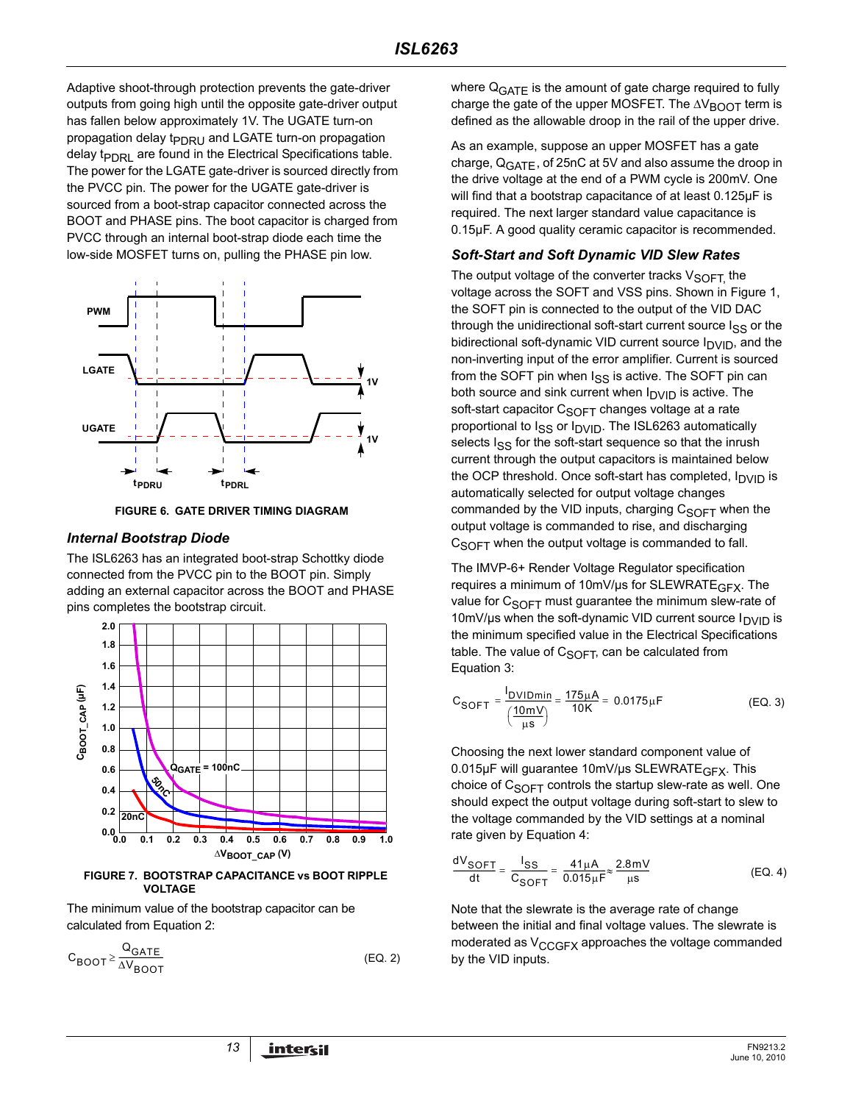Adaptive shoot-through protection prevents the gate-driver outputs from going high until the opposite gate-driver output has fallen below approximately 1V. The UGATE turn-on propagation delay t<sub>PDRU</sub> and LGATE turn-on propagation delay  $t_{\text{PDR}}$  are found in the Electrical Specifications table. The power for the LGATE gate-driver is sourced directly from the PVCC pin. The power for the UGATE gate-driver is sourced from a boot-strap capacitor connected across the BOOT and PHASE pins. The boot capacitor is charged from PVCC through an internal boot-strap diode each time the low-side MOSFET turns on, pulling the PHASE pin low.



**FIGURE 6. GATE DRIVER TIMING DIAGRAM**

#### *Internal Bootstrap Diode*

The ISL6263 has an integrated boot-strap Schottky diode connected from the PVCC pin to the BOOT pin. Simply adding an external capacitor across the BOOT and PHASE pins completes the bootstrap circuit.



**FIGURE 7. BOOTSTRAP CAPACITANCE vs BOOT RIPPLE VOLTAGE**

The minimum value of the bootstrap capacitor can be calculated from Equation [2](#page-12-0):

$$
C_{\text{BOOT}} \ge \frac{Q_{\text{GATE}}}{\Delta V_{\text{BOOT}}} \tag{Eq. 2}
$$

where  $Q_{GATF}$  is the amount of gate charge required to fully charge the gate of the upper MOSFET. The  $\Delta V_{\text{BOOT}}$  term is defined as the allowable droop in the rail of the upper drive.

As an example, suppose an upper MOSFET has a gate charge,  $Q_{GATE}$ , of 25nC at 5V and also assume the droop in the drive voltage at the end of a PWM cycle is 200mV. One will find that a bootstrap capacitance of at least 0.125µF is required. The next larger standard value capacitance is 0.15µF. A good quality ceramic capacitor is recommended.

#### *Soft-Start and Soft Dynamic VID Slew Rates*

The output voltage of the converter tracks  $V_{\text{SOFT}}$  the voltage across the SOFT and VSS pins. Shown in Figure 1, the SOFT pin is connected to the output of the VID DAC through the unidirectional soft-start current source  $I_{SS}$  or the bidirectional soft-dynamic VID current source  $I_{\text{D}V}$ , and the non-inverting input of the error amplifier. Current is sourced from the SOFT pin when  $I_{SS}$  is active. The SOFT pin can both source and sink current when  $I_{\text{DVID}}$  is active. The soft-start capacitor  $C_{\text{SOFT}}$  changes voltage at a rate proportional to  $I_{SS}$  or  $I_{DVID}$ . The ISL6263 automatically selects I<sub>SS</sub> for the soft-start sequence so that the inrush current through the output capacitors is maintained below the OCP threshold. Once soft-start has completed,  $I_{\text{DVID}}$  is automatically selected for output voltage changes commanded by the VID inputs, charging  $C_{S$ OFT when the output voltage is commanded to rise, and discharging  $C_{\text{SOFT}}$  when the output voltage is commanded to fall.

The IMVP-6+ Render Voltage Regulator specification requires a minimum of 10mV/us for SLEWRATE<sub>GFX</sub>. The value for  $C_{\text{SOFT}}$  must guarantee the minimum slew-rate of 10mV/us when the soft-dynamic VID current source  $I_{\text{DVID}}$  is the minimum specified value in the Electrical Specifications table. The value of  $C_{S$ OFT, can be calculated from Equation [3:](#page-12-1)

<span id="page-12-1"></span>
$$
C_{SOFT} = \frac{I_{DVIDmin}}{\left(\frac{10mV}{\mu s}\right)} = \frac{175\mu A}{10K} = 0.0175\mu F
$$
 (EQ. 3)

Choosing the next lower standard component value of 0.015µF will guarantee 10mV/us SLEWRATE<sub>GFX</sub>. This choice of  $C_{\text{SOFT}}$  controls the startup slew-rate as well. One should expect the output voltage during soft-start to slew to the voltage commanded by the VID settings at a nominal rate given by Equation [4:](#page-12-2)

<span id="page-12-2"></span>
$$
\frac{dV_{SOFT}}{dt} = \frac{I_{SS}}{C_{SOFT}} = \frac{41\mu A}{0.015\mu F} \approx \frac{2.8\text{mV}}{\mu s}
$$
 (EQ. 4)

<span id="page-12-0"></span>Note that the slewrate is the average rate of change between the initial and final voltage values. The slewrate is moderated as  $V_{CCGFX}$  approaches the voltage commanded by the VID inputs.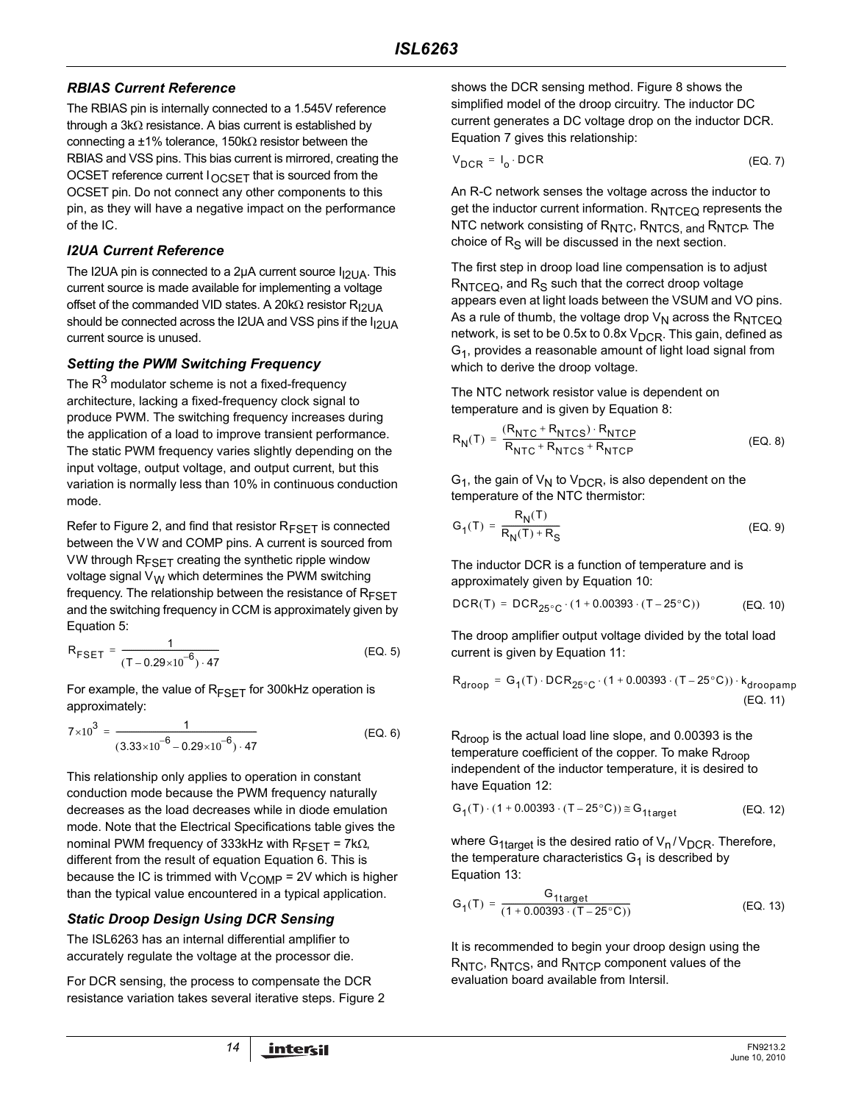#### *RBIAS Current Reference*

The RBIAS pin is internally connected to a 1.545V reference through a 3kΩ resistance. A bias current is established by connecting a  $±1\%$  tolerance, 150kΩ resistor between the RBIAS and VSS pins. This bias current is mirrored, creating the OCSET reference current  $I_{OCSFT}$  that is sourced from the OCSET pin. Do not connect any other components to this pin, as they will have a negative impact on the performance of the IC.

### *I2UA Current Reference*

The I2UA pin is connected to a 2 $\mu$ A current source  $I_{12}$ UA. This current source is made available for implementing a voltage offset of the commanded VID states. A 20kΩ resistor R<sub>I2UA</sub> should be connected across the I2UA and VSS pins if the  $I<sub>12</sub>U<sub>A</sub>$ current source is unused.

## *Setting the PWM Switching Frequency*

The  $R<sup>3</sup>$  modulator scheme is not a fixed-frequency architecture, lacking a fixed-frequency clock signal to produce PWM. The switching frequency increases during the application of a load to improve transient performance. The static PWM frequency varies slightly depending on the input voltage, output voltage, and output current, but this variation is normally less than 10% in continuous conduction mode.

Refer to Figure [2,](#page-3-0) and find that resistor  $R_{FSET}$  is connected between the VW and COMP pins. A current is sourced from VW through  $R_{FSFT}$  creating the synthetic ripple window voltage signal  $V_W$  which determines the PWM switching frequency. The relationship between the resistance of  $R_{FSFT}$ and the switching frequency in CCM is approximately given by Equation [5](#page-13-0):

$$
R_{\text{FSET}} = \frac{1}{(T - 0.29 \times 10^{-6}) \cdot 47}
$$
 (EQ. 5)

For example, the value of  $R_{FSET}$  for 300kHz operation is approximately:

$$
7 \times 10^{3} = \frac{1}{(3.33 \times 10^{-6} - 0.29 \times 10^{-6}) \cdot 47}
$$
 (EQ. 6)

This relationship only applies to operation in constant conduction mode because the PWM frequency naturally decreases as the load decreases while in diode emulation mode. Note that the Electrical Specifications table gives the nominal PWM frequency of 333kHz with  $R_{FSFT}$  = 7kΩ, different from the result of equation Equation 6. This is because the IC is trimmed with  $V_{\text{COMP}}$  = 2V which is higher than the typical value encountered in a typical application.

## *Static Droop Design Using DCR Sensing*

The ISL6263 has an internal differential amplifier to accurately regulate the voltage at the processor die.

For DCR sensing, the process to compensate the DCR resistance variation takes several iterative steps. Figure 2 shows the DCR sensing method. Figure 8 shows the simplified model of the droop circuitry. The inductor DC current generates a DC voltage drop on the inductor DCR. Equation [7](#page-13-1) gives this relationship:

<span id="page-13-1"></span>
$$
V_{DCR} = I_0 \cdot DCR
$$
 (EQ. 7)

An R-C network senses the voltage across the inductor to get the inductor current information.  $R_{NTCFO}$  represents the NTC network consisting of R<sub>NTC</sub>, R<sub>NTCS, and</sub> R<sub>NTCP</sub>. The choice of  $R<sub>S</sub>$  will be discussed in the next section.

The first step in droop load line compensation is to adjust  $R_{NTCFO}$ , and  $R_S$  such that the correct droop voltage appears even at light loads between the VSUM and VO pins. As a rule of thumb, the voltage drop  $V_N$  across the  $R_{NTCEQ}$ network, is set to be 0.5x to 0.8x  $V_{DCR}$ . This gain, defined as  $G_1$ , provides a reasonable amount of light load signal from which to derive the droop voltage.

The NTC network resistor value is dependent on temperature and is given by Equation [8](#page-13-2):

<span id="page-13-2"></span>
$$
R_N(T) = \frac{(R_{NTC} + R_{NTCS}) \cdot R_{NTCP}}{R_{NTC} + R_{NTCS} + R_{NTCP}}
$$
 (EQ. 8)

 $G_1$ , the gain of  $V_N$  to  $V_{DCR}$ , is also dependent on the temperature of the NTC thermistor:

$$
G_1(T) = \frac{R_N(T)}{R_N(T) + R_S} \tag{Eq. 9}
$$

The inductor DCR is a function of temperature and is approximately given by Equation [10](#page-13-3):

<span id="page-13-3"></span>
$$
DCR(T) = DCR_{25^{\circ}C} \cdot (1 + 0.00393 \cdot (T - 25^{\circ}C))
$$
 (EQ. 10)

<span id="page-13-0"></span>The droop amplifier output voltage divided by the total load current is given by Equation [11:](#page-13-4)

<span id="page-13-4"></span>
$$
R_{\text{droop}} = G_1(T) \cdot DCR_{25^{\circ}C} \cdot (1 + 0.00393 \cdot (T - 25^{\circ}C)) \cdot k_{\text{droopamp}} \tag{EQ. 11}
$$

R<sub>droop</sub> is the actual load line slope, and 0.00393 is the temperature coefficient of the copper. To make  $R_{\text{droom}}$ independent of the inductor temperature, it is desired to have Equation [12:](#page-13-5)

<span id="page-13-5"></span>
$$
G_1(T) \cdot (1 + 0.00393 \cdot (T - 25^{\circ}C)) \cong G_{1target}
$$
 (EQ. 12)

where  $G_{1\text{target}}$  is the desired ratio of  $V_n/V_{DCR}$ . Therefore, the temperature characteristics  $G_1$  is described by Equation 13:

$$
G_1(T) = \frac{G_{1target}}{(1 + 0.00393 \cdot (T - 25^{\circ}C))}
$$
 (EQ. 13)

It is recommended to begin your droop design using the R<sub>NTC</sub>, R<sub>NTCS</sub>, and R<sub>NTCP</sub> component values of the evaluation board available from Intersil.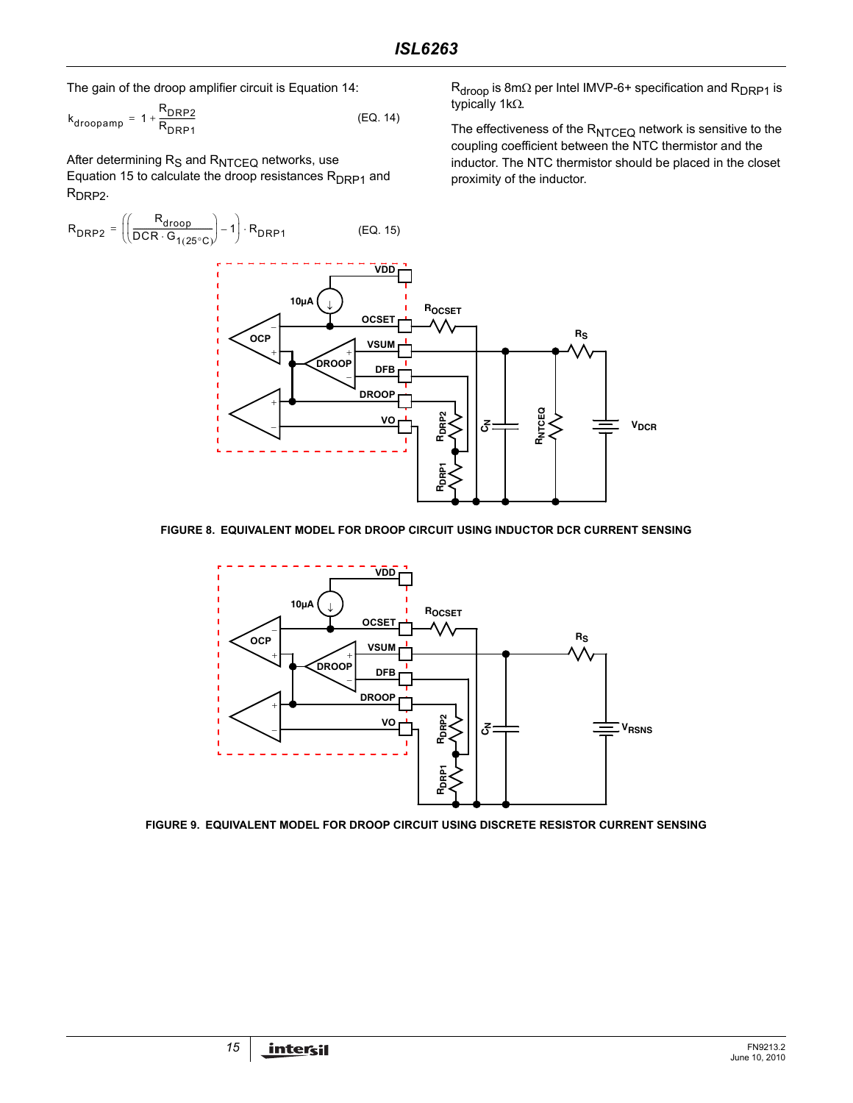The gain of the droop amplifier circuit is Equation [14](#page-14-0):

$$
k_{\text{droopamp}} = 1 + \frac{R_{\text{DRP2}}}{R_{\text{DRP1}}} \tag{Eq. 14}
$$

After determining  $R_S$  and  $R_{NTCEQ}$  networks, use Equation [15](#page-14-1) to calculate the droop resistances  $R_{DRP1}$  and R<sub>DRP2</sub>.



#### **FIGURE 8. EQUIVALENT MODEL FOR DROOP CIRCUIT USING INDUCTOR DCR CURRENT SENSING**



<span id="page-14-2"></span>**FIGURE 9. EQUIVALENT MODEL FOR DROOP CIRCUIT USING DISCRETE RESISTOR CURRENT SENSING**

R<sub>droop</sub> is 8mΩ per Intel IMVP-6+ specification and R<sub>DRP1</sub> is typically 1kΩ.

<span id="page-14-1"></span><span id="page-14-0"></span>The effectiveness of the  $R_{NTCEQ}$  network is sensitive to the coupling coefficient between the NTC thermistor and the inductor. The NTC thermistor should be placed in the closet proximity of the inductor.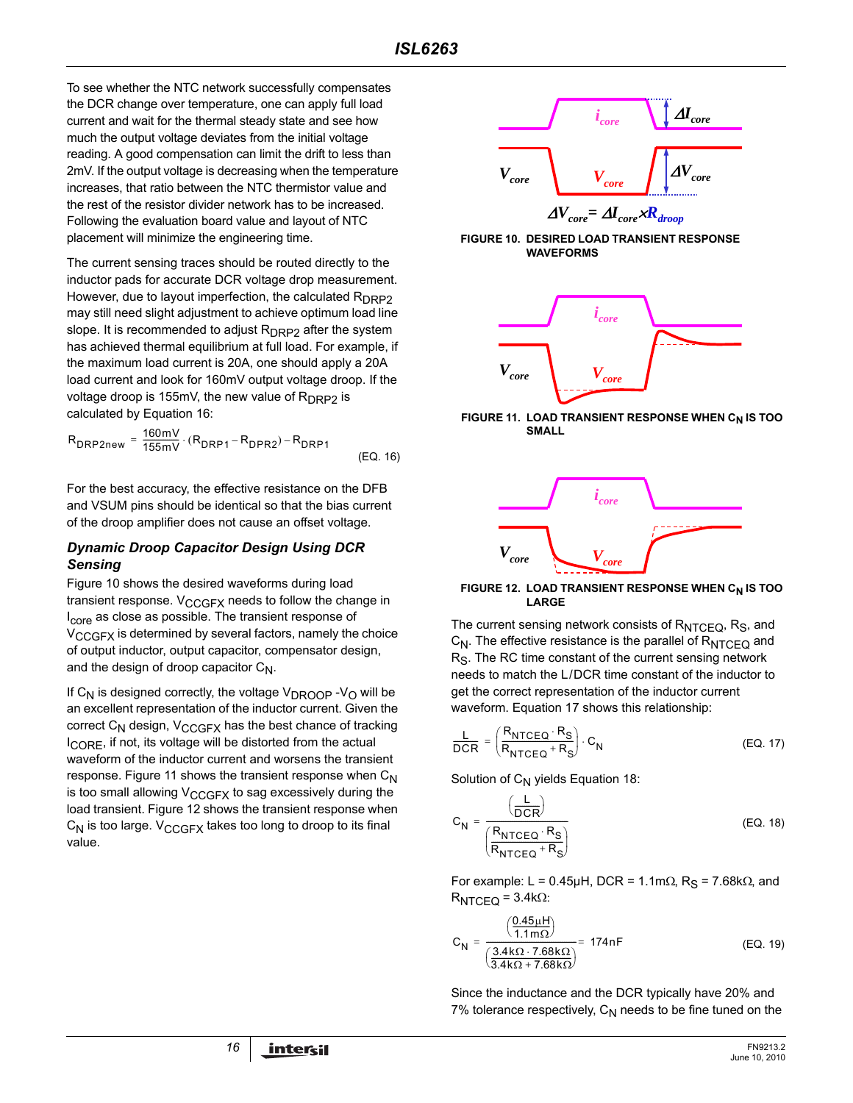To see whether the NTC network successfully compensates the DCR change over temperature, one can apply full load current and wait for the thermal steady state and see how much the output voltage deviates from the initial voltage reading. A good compensation can limit the drift to less than 2mV. If the output voltage is decreasing when the temperature increases, that ratio between the NTC thermistor value and the rest of the resistor divider network has to be increased. Following the evaluation board value and layout of NTC placement will minimize the engineering time.

The current sensing traces should be routed directly to the inductor pads for accurate DCR voltage drop measurement. However, due to layout imperfection, the calculated  $R_{\text{DRP2}}$ may still need slight adjustment to achieve optimum load line slope. It is recommended to adjust R<sub>DRP2</sub> after the system has achieved thermal equilibrium at full load. For example, if the maximum load current is 20A, one should apply a 20A load current and look for 160mV output voltage droop. If the voltage droop is 155mV, the new value of  $R_{DRP2}$  is calculated by Equation [16:](#page-15-0)

$$
R_{DRP2new} = \frac{160mV}{155mV} \cdot (R_{DRP1} - R_{DPR2}) - R_{DRP1}
$$
 (EO. 16)

For the best accuracy, the effective resistance on the DFB and VSUM pins should be identical so that the bias current of the droop amplifier does not cause an offset voltage.

#### *Dynamic Droop Capacitor Design Using DCR Sensing*

Figure 10 shows the desired waveforms during load transient response.  $V_{CCGFX}$  needs to follow the change in I<sub>core</sub> as close as possible. The transient response of V<sub>CCGFX</sub> is determined by several factors, namely the choice of output inductor, output capacitor, compensator design, and the design of droop capacitor  $C_N$ .

If  $C_N$  is designed correctly, the voltage  $V_{DROOP}$  -V<sub>O</sub> will be an excellent representation of the inductor current. Given the correct  $C_N$  design,  $V_{CCGFX}$  has the best chance of tracking I<sub>CORE</sub>, if not, its voltage will be distorted from the actual waveform of the inductor current and worsens the transient response. Figure 11 shows the transient response when  $C_N$ is too small allowing  $V_{CCGFX}$  to sag excessively during the load transient. Figure 12 shows the transient response when  $C_N$  is too large.  $V_{CCGFX}$  takes too long to droop to its final value.



**FIGURE 10. DESIRED LOAD TRANSIENT RESPONSE WAVEFORMS**



<span id="page-15-0"></span>**FIGURE 11. LOAD TRANSIENT RESPONSE WHEN CN IS TOO SMALL**



#### **FIGURE 12. LOAD TRANSIENT RESPONSE WHEN C<sub>N</sub> IS TOO LARGE**

The current sensing network consists of  $R_{NTCEQ}$ ,  $R_S$ , and  $C_N$ . The effective resistance is the parallel of  $R_{NTCEQ}$  and R<sub>S</sub>. The RC time constant of the current sensing network needs to match the L/DCR time constant of the inductor to get the correct representation of the inductor current waveform. Equation [17](#page-15-1) shows this relationship:

<span id="page-15-1"></span>
$$
\frac{L}{DCR} = \left(\frac{R_{NTCEQ} \cdot R_S}{R_{NTCEQ} + R_S}\right) \cdot C_N
$$
 (EQ. 17)

Solution of  $C_N$  yields Equation [18](#page-15-2):

<span id="page-15-2"></span>
$$
C_{N} = \frac{\left(\frac{L}{DCR}\right)}{\left(\frac{R_{NTCEQ} \cdot R_{S}}{R_{NTCEQ} + R_{S}}\right)}
$$
(EQ. 18)

For example: L = 0.45µH, DCR = 1.1m $\Omega$ , R<sub>S</sub> = 7.68k $\Omega$ , and  $R_{NTCEQ}$  = 3.4kΩ:

$$
C_{N} = \frac{\left(\frac{0.45\mu H}{1.1m\Omega}\right)}{\left(\frac{3.4k\Omega \cdot 7.68k\Omega}{3.4k\Omega + 7.68k\Omega}\right)} = 174nF
$$
 (EQ. 19)

Since the inductance and the DCR typically have 20% and 7% tolerance respectively,  $C_N$  needs to be fine tuned on the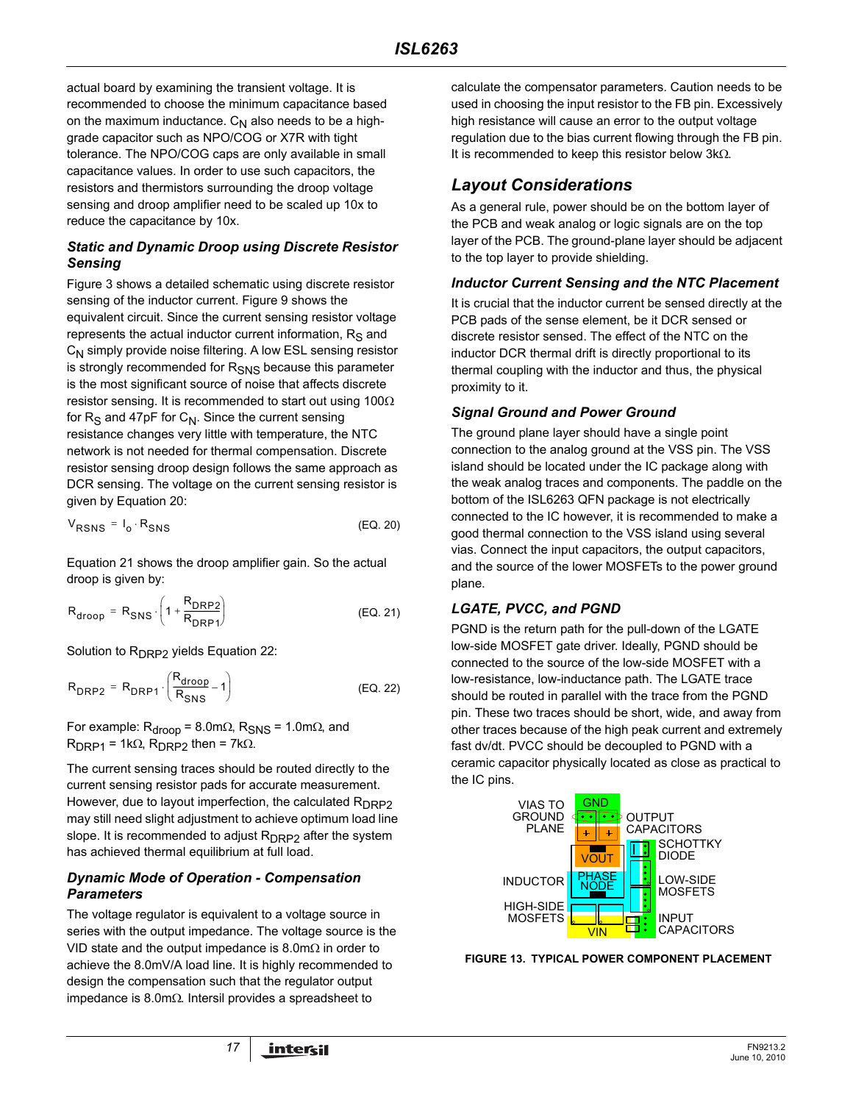actual board by examining the transient voltage. It is recommended to choose the minimum capacitance based on the maximum inductance.  $C_N$  also needs to be a highgrade capacitor such as NPO/COG or X7R with tight tolerance. The NPO/COG caps are only available in small capacitance values. In order to use such capacitors, the resistors and thermistors surrounding the droop voltage sensing and droop amplifier need to be scaled up 10x to reduce the capacitance by 10x.

#### *Static and Dynamic Droop using Discrete Resistor Sensing*

Figure [3](#page-4-0) shows a detailed schematic using discrete resistor sensing of the inductor current. Figure [9](#page-14-2) shows the equivalent circuit. Since the current sensing resistor voltage represents the actual inductor current information,  $R<sub>S</sub>$  and  $C_N$  simply provide noise filtering. A low ESL sensing resistor is strongly recommended for R<sub>SNS</sub> because this parameter is the most significant source of noise that affects discrete resistor sensing. It is recommended to start out using 100Ω for  $R<sub>S</sub>$  and 47pF for  $C<sub>N</sub>$ . Since the current sensing resistance changes very little with temperature, the NTC network is not needed for thermal compensation. Discrete resistor sensing droop design follows the same approach as DCR sensing. The voltage on the current sensing resistor is given by Equation [20:](#page-16-0)

$$
V_{RSNS} = I_0 \cdot R_{SNS}
$$
 (EQ. 20)

Equation [21](#page-16-1) shows the droop amplifier gain. So the actual droop is given by:

$$
R_{\text{drop}} = R_{\text{SNS}} \cdot \left(1 + \frac{R_{\text{DRP2}}}{R_{\text{DRP1}}}\right) \tag{Eq. 21}
$$

Solution to  $R_{DRP2}$  yields Equation [22:](#page-16-2)

$$
R_{DRP2} = R_{DRP1} \cdot \left(\frac{R_{\text{droop}}}{R_{SNS}} - 1\right)
$$
 (EQ. 22)

For example:  $R_{\text{drop}}$  = 8.0mΩ,  $R_{\text{SNS}}$  = 1.0mΩ, and  $R_{DRP1}$  = 1kΩ,  $R_{DRP2}$  then = 7kΩ.

The current sensing traces should be routed directly to the current sensing resistor pads for accurate measurement. However, due to layout imperfection, the calculated  $R_{\text{DRP2}}$ may still need slight adjustment to achieve optimum load line slope. It is recommended to adjust  $R_{DRP2}$  after the system has achieved thermal equilibrium at full load.

#### *Dynamic Mode of Operation - Compensation Parameters*

The voltage regulator is equivalent to a voltage source in series with the output impedance. The voltage source is the VID state and the output impedance is 8.0mΩ in order to achieve the 8.0mV/A load line. It is highly recommended to design the compensation such that the regulator output impedance is 8.0mΩ. Intersil provides a spreadsheet to

calculate the compensator parameters. Caution needs to be used in choosing the input resistor to the FB pin. Excessively high resistance will cause an error to the output voltage regulation due to the bias current flowing through the FB pin. It is recommended to keep this resistor below 3kΩ.

## *Layout Considerations*

As a general rule, power should be on the bottom layer of the PCB and weak analog or logic signals are on the top layer of the PCB. The ground-plane layer should be adjacent to the top layer to provide shielding.

#### *Inductor Current Sensing and the NTC Placement*

It is crucial that the inductor current be sensed directly at the PCB pads of the sense element, be it DCR sensed or discrete resistor sensed. The effect of the NTC on the inductor DCR thermal drift is directly proportional to its thermal coupling with the inductor and thus, the physical proximity to it.

#### *Signal Ground and Power Ground*

The ground plane layer should have a single point connection to the analog ground at the VSS pin. The VSS island should be located under the IC package along with the weak analog traces and components. The paddle on the bottom of the ISL6263 QFN package is not electrically connected to the IC however, it is recommended to make a good thermal connection to the VSS island using several vias. Connect the input capacitors, the output capacitors, and the source of the lower MOSFETs to the power ground plane.

#### <span id="page-16-1"></span><span id="page-16-0"></span>*LGATE, PVCC, and PGND*

<span id="page-16-2"></span>PGND is the return path for the pull-down of the LGATE low-side MOSFET gate driver. Ideally, PGND should be connected to the source of the low-side MOSFET with a low-resistance, low-inductance path. The LGATE trace should be routed in parallel with the trace from the PGND pin. These two traces should be short, wide, and away from other traces because of the high peak current and extremely fast dv/dt. PVCC should be decoupled to PGND with a ceramic capacitor physically located as close as practical to the IC pins.



**FIGURE 13. TYPICAL POWER COMPONENT PLACEMENT**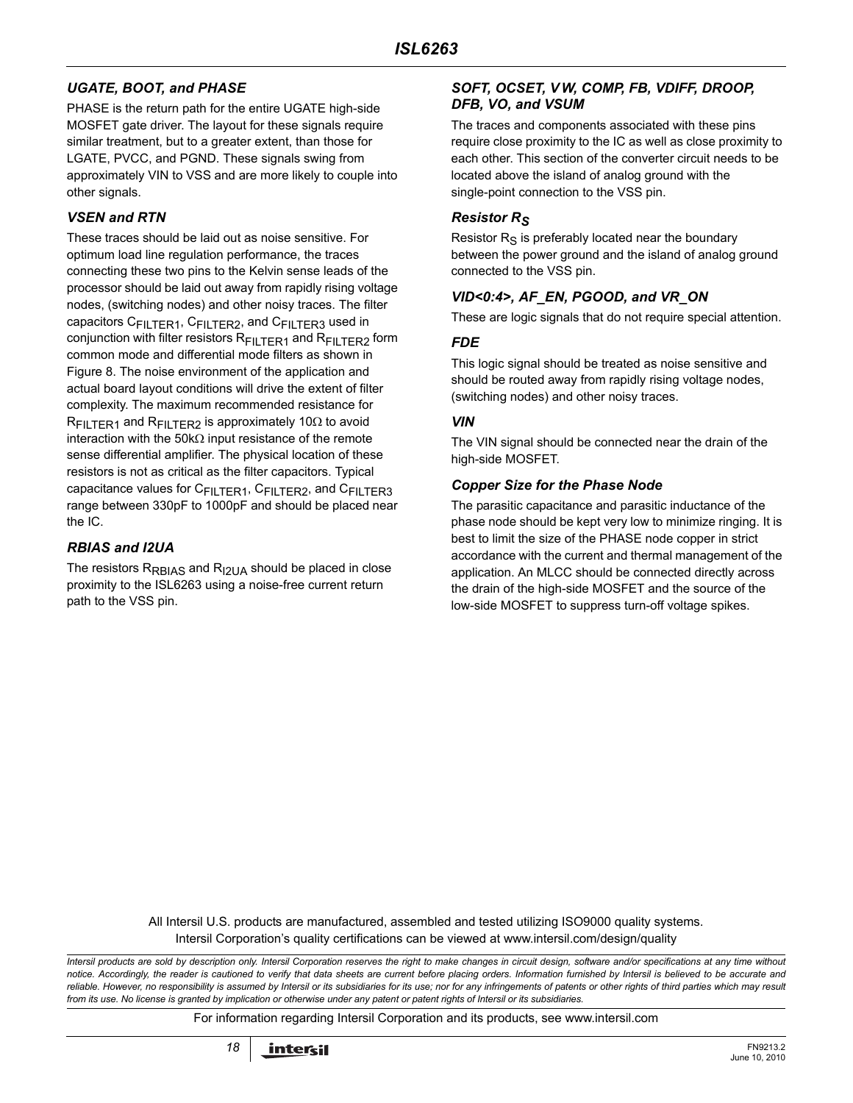## *UGATE, BOOT, and PHASE*

PHASE is the return path for the entire UGATE high-side MOSFET gate driver. The layout for these signals require similar treatment, but to a greater extent, than those for LGATE, PVCC, and PGND. These signals swing from approximately VIN to VSS and are more likely to couple into other signals.

#### *VSEN and RTN*

These traces should be laid out as noise sensitive. For optimum load line regulation performance, the traces connecting these two pins to the Kelvin sense leads of the processor should be laid out away from rapidly rising voltage nodes, (switching nodes) and other noisy traces. The filter capacitors C<sub>FILTER1</sub>, C<sub>FILTER2</sub>, and C<sub>FILTER3</sub> used in conjunction with filter resistors  $R_{FII}$  TER1 and  $R_{FII}$  TER2 form common mode and differential mode filters as shown in Figure 8. The noise environment of the application and actual board layout conditions will drive the extent of filter complexity. The maximum recommended resistance for  $R_{\text{FII TFR1}}$  and  $R_{\text{FII TFR2}}$  is approximately 10 $\Omega$  to avoid interaction with the 50kΩ input resistance of the remote sense differential amplifier. The physical location of these resistors is not as critical as the filter capacitors. Typical capacitance values for C<sub>FILTER1</sub>, C<sub>FILTER2</sub>, and C<sub>FILTER3</sub> range between 330pF to 1000pF and should be placed near the IC.

### *RBIAS and I2UA*

The resistors  $R_{\text{RBIAS}}$  and  $R_{12}$  and  $R_{12}$  should be placed in close proximity to the ISL6263 using a noise-free current return path to the VSS pin.

#### *SOFT, OCSET, V W, COMP, FB, VDIFF, DROOP, DFB, VO, and VSUM*

The traces and components associated with these pins require close proximity to the IC as well as close proximity to each other. This section of the converter circuit needs to be located above the island of analog ground with the single-point connection to the VSS pin.

### *Resistor RS*

Resistor  $R<sub>S</sub>$  is preferably located near the boundary between the power ground and the island of analog ground connected to the VSS pin.

#### *VID<0:4>, AF\_EN, PGOOD, and VR\_ON*

These are logic signals that do not require special attention.

#### *FDE*

This logic signal should be treated as noise sensitive and should be routed away from rapidly rising voltage nodes, (switching nodes) and other noisy traces.

#### *VIN*

The VIN signal should be connected near the drain of the high-side MOSFET.

#### *Copper Size for the Phase Node*

The parasitic capacitance and parasitic inductance of the phase node should be kept very low to minimize ringing. It is best to limit the size of the PHASE node copper in strict accordance with the current and thermal management of the application. An MLCC should be connected directly across the drain of the high-side MOSFET and the source of the low-side MOSFET to suppress turn-off voltage spikes.

All Intersil U.S. products are manufactured, assembled and tested utilizing ISO9000 quality systems. Intersil Corporation's quality certifications can be viewed at www.intersil.com/design/quality

*Intersil products are sold by description only. Intersil Corporation reserves the right to make changes in circuit design, software and/or specifications at any time without notice. Accordingly, the reader is cautioned to verify that data sheets are current before placing orders. Information furnished by Intersil is believed to be accurate and reliable. However, no responsibility is assumed by Intersil or its subsidiaries for its use; nor for any infringements of patents or other rights of third parties which may result from its use. No license is granted by implication or otherwise under any patent or patent rights of Intersil or its subsidiaries.*

For information regarding Intersil Corporation and its products, see www.intersil.com